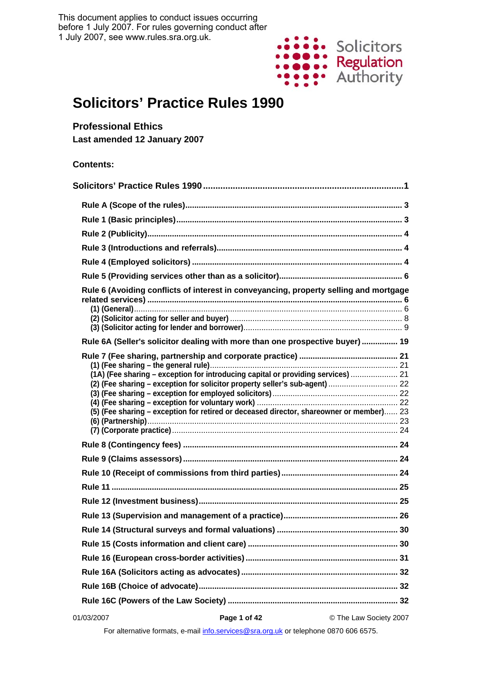

# <span id="page-0-0"></span>**Solicitors' Practice Rules 1990**

**Professional Ethics** 

**Last amended 12 January 2007** 

### **Contents:**

|            | Rule 6 (Avoiding conflicts of interest in conveyancing, property selling and mortgage   |                        |
|------------|-----------------------------------------------------------------------------------------|------------------------|
|            |                                                                                         |                        |
|            |                                                                                         |                        |
|            | Rule 6A (Seller's solicitor dealing with more than one prospective buyer)  19           |                        |
|            |                                                                                         |                        |
|            | (1A) (Fee sharing - exception for introducing capital or providing services)  21        |                        |
|            | (2) (Fee sharing - exception for solicitor property seller's sub-agent)  22             |                        |
|            |                                                                                         |                        |
|            |                                                                                         |                        |
|            | (5) (Fee sharing - exception for retired or deceased director, shareowner or member) 23 |                        |
|            |                                                                                         |                        |
|            |                                                                                         |                        |
|            |                                                                                         |                        |
|            |                                                                                         |                        |
|            |                                                                                         |                        |
|            |                                                                                         |                        |
|            |                                                                                         |                        |
|            |                                                                                         |                        |
|            |                                                                                         |                        |
|            |                                                                                         |                        |
|            |                                                                                         |                        |
|            |                                                                                         |                        |
|            |                                                                                         |                        |
| 01/03/2007 | Page 1 of 42                                                                            | © The Law Society 2007 |

For alternative formats, e-mail [info.services@sra.org.uk o](mailto:xxxx.xxxxxxxx@xxx.xxx.xx)r telephone 0870 606 6575.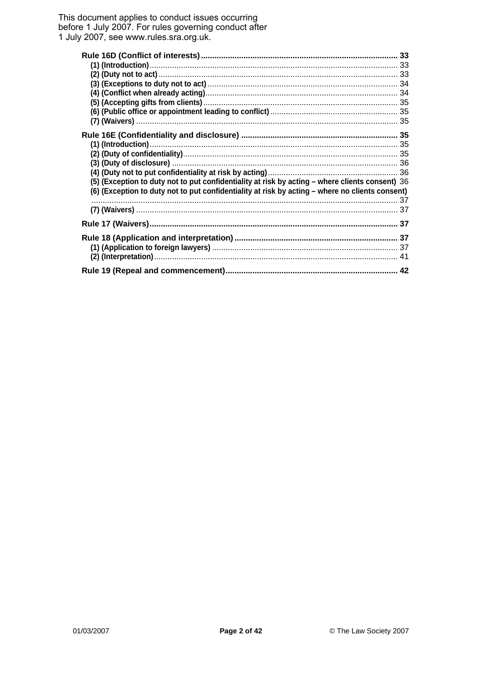| (5) (Exception to duty not to put confidentiality at risk by acting - where clients consent) 36<br>(6) (Exception to duty not to put confidentiality at risk by acting - where no clients consent) |  |
|----------------------------------------------------------------------------------------------------------------------------------------------------------------------------------------------------|--|
|                                                                                                                                                                                                    |  |
|                                                                                                                                                                                                    |  |
|                                                                                                                                                                                                    |  |
|                                                                                                                                                                                                    |  |
|                                                                                                                                                                                                    |  |
|                                                                                                                                                                                                    |  |
|                                                                                                                                                                                                    |  |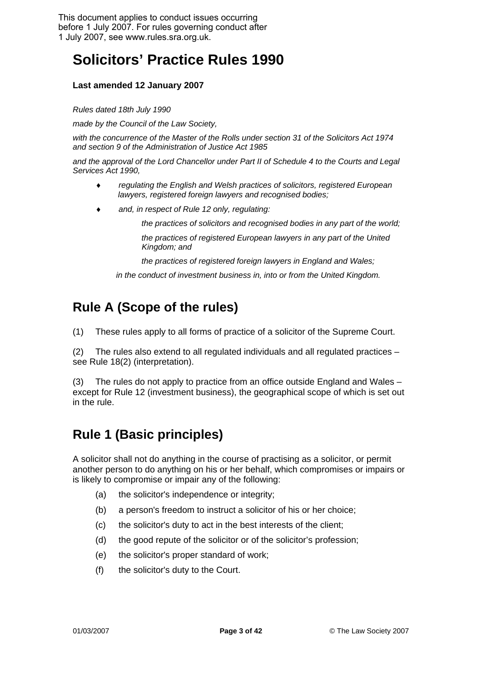# <span id="page-2-0"></span>**Solicitors' Practice Rules 1990**

### **Last amended 12 January 2007**

*Rules dated 18th July 1990* 

*made by the Council of the Law Society,* 

*with the concurrence of the Master of the Rolls under section 31 of the Solicitors Act 1974 and section 9 of the Administration of Justice Act 1985* 

*and the approval of the Lord Chancellor under Part II of Schedule 4 to the Courts and Legal Services Act 1990,* 

- ♦ *regulating the English and Welsh practices of solicitors, registered European lawyers, registered foreign lawyers and recognised bodies;*
- and, in respect of Rule 12 only, regulating:

*the practices of solicitors and recognised bodies in any part of the world;* 

*the practices of registered European lawyers in any part of the United Kingdom; and* 

*the practices of registered foreign lawyers in England and Wales;* 

*in the conduct of investment business in, into or from the United Kingdom.* 

# **Rule A (Scope of the rules)**

(1) These rules apply to all forms of practice of a solicitor of the Supreme Court.

(2) The rules also extend to all regulated individuals and all regulated practices – see Rule 18(2) (interpretation).

(3) The rules do not apply to practice from an office outside England and Wales – except for Rule 12 (investment business), the geographical scope of which is set out in the rule.

# **Rule 1 (Basic principles)**

A solicitor shall not do anything in the course of practising as a solicitor, or permit another person to do anything on his or her behalf, which compromises or impairs or is likely to compromise or impair any of the following:

- (a) the solicitor's independence or integrity;
- (b) a person's freedom to instruct a solicitor of his or her choice;
- (c) the solicitor's duty to act in the best interests of the client;
- (d) the good repute of the solicitor or of the solicitor's profession;
- (e) the solicitor's proper standard of work;
- (f) the solicitor's duty to the Court.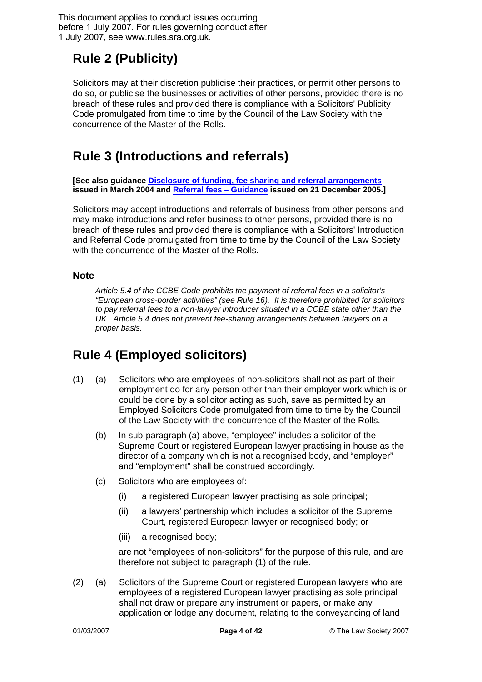# <span id="page-3-0"></span>**Rule 2 (Publicity)**

Solicitors may at their discretion publicise their practices, or permit other persons to do so, or publicise the businesses or activities of other persons, provided there is no breach of these rules and provided there is compliance with a Solicitors' Publicity Code promulgated from time to time by the Council of the Law Society with the concurrence of the Master of the Rolls.

# **Rule 3 (Introductions and referrals)**

**[See also guidance [Disclosure of funding, fee sharing and referral arrangements](http://www.lawsociety.org.uk/documents/downloads/Profethics_Fund_Fee_Refer.pdf) issued in March 2004 and [Referral fees – Guidance](http://www.lawsociety.org.uk/documents/downloads/PE_ReferralFeesGuidance1205.pdf) issued on 21 December 2005.]** 

Solicitors may accept introductions and referrals of business from other persons and may make introductions and refer business to other persons, provided there is no breach of these rules and provided there is compliance with a Solicitors' Introduction and Referral Code promulgated from time to time by the Council of the Law Society with the concurrence of the Master of the Rolls.

### **Note**

*Article 5.4 of the CCBE Code prohibits the payment of referral fees in a solicitor's "European cross-border activities" (see Rule 16). It is therefore prohibited for solicitors to pay referral fees to a non-lawyer introducer situated in a CCBE state other than the UK. Article 5.4 does not prevent fee-sharing arrangements between lawyers on a proper basis.* 

# **Rule 4 (Employed solicitors)**

- (1) (a) Solicitors who are employees of non-solicitors shall not as part of their employment do for any person other than their employer work which is or could be done by a solicitor acting as such, save as permitted by an Employed Solicitors Code promulgated from time to time by the Council of the Law Society with the concurrence of the Master of the Rolls.
	- (b) In sub-paragraph (a) above, "employee" includes a solicitor of the Supreme Court or registered European lawyer practising in house as the director of a company which is not a recognised body, and "employer" and "employment" shall be construed accordingly.
	- (c) Solicitors who are employees of:
		- (i) a registered European lawyer practising as sole principal;
		- (ii) a lawyers' partnership which includes a solicitor of the Supreme Court, registered European lawyer or recognised body; or
		- (iii) a recognised body;

are not "employees of non-solicitors" for the purpose of this rule, and are therefore not subject to paragraph (1) of the rule.

(2) (a) Solicitors of the Supreme Court or registered European lawyers who are employees of a registered European lawyer practising as sole principal shall not draw or prepare any instrument or papers, or make any application or lodge any document, relating to the conveyancing of land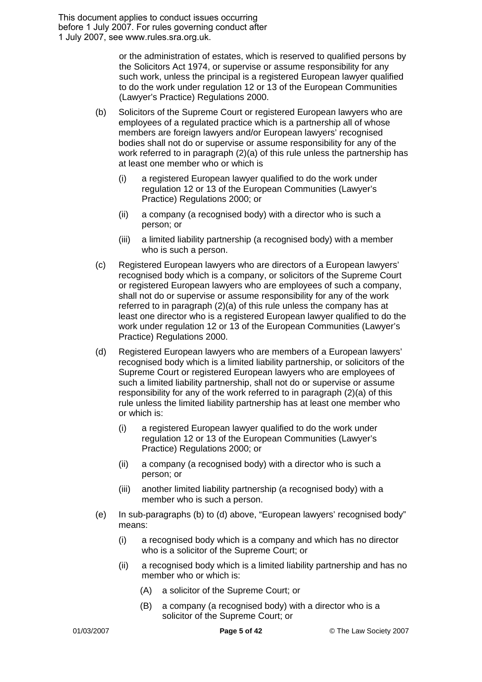> or the administration of estates, which is reserved to qualified persons by the Solicitors Act 1974, or supervise or assume responsibility for any such work, unless the principal is a registered European lawyer qualified to do the work under regulation 12 or 13 of the European Communities (Lawyer's Practice) Regulations 2000.

- (b) Solicitors of the Supreme Court or registered European lawyers who are employees of a regulated practice which is a partnership all of whose members are foreign lawyers and/or European lawyers' recognised bodies shall not do or supervise or assume responsibility for any of the work referred to in paragraph (2)(a) of this rule unless the partnership has at least one member who or which is
	- (i) a registered European lawyer qualified to do the work under regulation 12 or 13 of the European Communities (Lawyer's Practice) Regulations 2000; or
	- (ii) a company (a recognised body) with a director who is such a person; or
	- (iii) a limited liability partnership (a recognised body) with a member who is such a person.
- (c) Registered European lawyers who are directors of a European lawyers' recognised body which is a company, or solicitors of the Supreme Court or registered European lawyers who are employees of such a company, shall not do or supervise or assume responsibility for any of the work referred to in paragraph (2)(a) of this rule unless the company has at least one director who is a registered European lawyer qualified to do the work under regulation 12 or 13 of the European Communities (Lawyer's Practice) Regulations 2000.
- (d) Registered European lawyers who are members of a European lawyers' recognised body which is a limited liability partnership, or solicitors of the Supreme Court or registered European lawyers who are employees of such a limited liability partnership, shall not do or supervise or assume responsibility for any of the work referred to in paragraph (2)(a) of this rule unless the limited liability partnership has at least one member who or which is:
	- (i) a registered European lawyer qualified to do the work under regulation 12 or 13 of the European Communities (Lawyer's Practice) Regulations 2000; or
	- (ii) a company (a recognised body) with a director who is such a person; or
	- (iii) another limited liability partnership (a recognised body) with a member who is such a person.
- (e) In sub-paragraphs (b) to (d) above, "European lawyers' recognised body" means:
	- (i) a recognised body which is a company and which has no director who is a solicitor of the Supreme Court; or
	- (ii) a recognised body which is a limited liability partnership and has no member who or which is:
		- (A) a solicitor of the Supreme Court; or
		- (B) a company (a recognised body) with a director who is a solicitor of the Supreme Court; or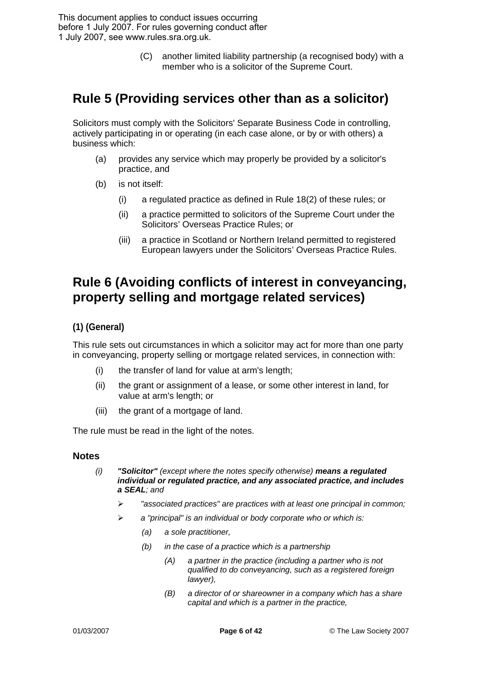(C) another limited liability partnership (a recognised body) with a member who is a solicitor of the Supreme Court.

# <span id="page-5-0"></span>**Rule 5 (Providing services other than as a solicitor)**

Solicitors must comply with the Solicitors' Separate Business Code in controlling, actively participating in or operating (in each case alone, or by or with others) a business which:

- (a) provides any service which may properly be provided by a solicitor's practice, and
- (b) is not itself:
	- (i) a regulated practice as defined in Rule 18(2) of these rules; or
	- (ii) a practice permitted to solicitors of the Supreme Court under the Solicitors' Overseas Practice Rules; or
	- (iii) a practice in Scotland or Northern Ireland permitted to registered European lawyers under the Solicitors' Overseas Practice Rules.

# **Rule 6 (Avoiding conflicts of interest in conveyancing, property selling and mortgage related services)**

## **(1) (General)**

This rule sets out circumstances in which a solicitor may act for more than one party in conveyancing, property selling or mortgage related services, in connection with:

- (i) the transfer of land for value at arm's length;
- (ii) the grant or assignment of a lease, or some other interest in land, for value at arm's length; or
- (iii) the grant of a mortgage of land.

The rule must be read in the light of the notes.

### **Notes**

- *(i) "Solicitor" (except where the notes specify otherwise) means a regulated individual or regulated practice, and any associated practice, and includes a SEAL; and* 
	- ¾ *"associated practices" are practices with at least one principal in common;*
	- ¾ *a "principal" is an individual or body corporate who or which is:* 
		- *(a) a sole practitioner,*
		- *(b) in the case of a practice which is a partnership* 
			- *(A) a partner in the practice (including a partner who is not qualified to do conveyancing, such as a registered foreign lawyer),*
			- *(B) a director of or shareowner in a company which has a share capital and which is a partner in the practice,*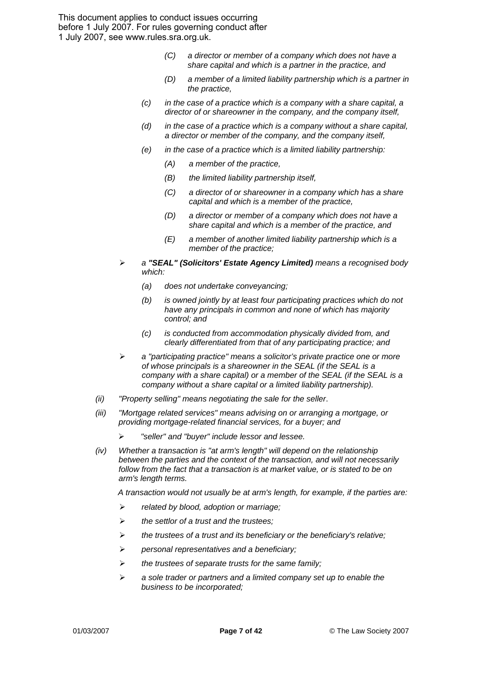- *(C) a director or member of a company which does not have a share capital and which is a partner in the practice, and*
- *(D) a member of a limited liability partnership which is a partner in the practice,*
- *(c) in the case of a practice which is a company with a share capital, a director of or shareowner in the company, and the company itself,*
- *(d) in the case of a practice which is a company without a share capital, a director or member of the company, and the company itself,*
- *(e) in the case of a practice which is a limited liability partnership:* 
	- *(A) a member of the practice,*
	- *(B) the limited liability partnership itself,*
	- *(C) a director of or shareowner in a company which has a share capital and which is a member of the practice,*
	- *(D) a director or member of a company which does not have a share capital and which is a member of the practice, and*
	- *(E) a member of another limited liability partnership which is a member of the practice;*
- ¾ *a "SEAL" (Solicitors' Estate Agency Limited) means a recognised body which:* 
	- *(a) does not undertake conveyancing;*
	- *(b) is owned jointly by at least four participating practices which do not have any principals in common and none of which has majority control; and*
	- *(c) is conducted from accommodation physically divided from, and clearly differentiated from that of any participating practice; and*
- ¾ *a "participating practice" means a solicitor's private practice one or more of whose principals is a shareowner in the SEAL (if the SEAL is a company with a share capital) or a member of the SEAL (if the SEAL is a company without a share capital or a limited liability partnership).*
- *(ii) "Property selling" means negotiating the sale for the seller*.
- *(iii) "Mortgage related services" means advising on or arranging a mortgage, or providing mortgage-related financial services, for a buyer; and*
	- ¾ *"seller" and "buyer" include lessor and lessee.*
- *(iv) Whether a transaction is "at arm's length" will depend on the relationship between the parties and the context of the transaction, and will not necessarily follow from the fact that a transaction is at market value, or is stated to be on arm's length terms.*

*A transaction would not usually be at arm's length, for example, if the parties are:*

- ¾ *related by blood, adoption or marriage;*
- ¾ *the settlor of a trust and the trustees;*
- ¾ *the trustees of a trust and its beneficiary or the beneficiary's relative;*
- ¾ *personal representatives and a beneficiary;*
- ¾ *the trustees of separate trusts for the same family;*
- ¾ *a sole trader or partners and a limited company set up to enable the business to be incorporated;*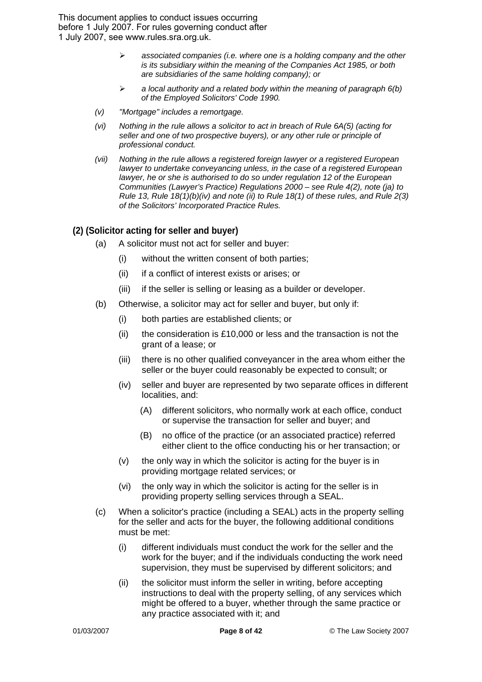- <span id="page-7-0"></span>¾ *associated companies (i.e. where one is a holding company and the other is its subsidiary within the meaning of the Companies Act 1985, or both are subsidiaries of the same holding company); or*
- ¾ *a local authority and a related body within the meaning of paragraph 6(b) of the Employed Solicitors' Code 1990.*
- *(v) "Mortgage" includes a remortgage.*
- *(vi) Nothing in the rule allows a solicitor to act in breach of Rule 6A(5) (acting for seller and one of two prospective buyers), or any other rule or principle of professional conduct.*
- *(vii) Nothing in the rule allows a registered foreign lawyer or a registered European lawyer to undertake conveyancing unless, in the case of a registered European lawyer, he or she is authorised to do so under regulation 12 of the European Communities (Lawyer's Practice) Regulations 2000 – see Rule 4(2), note (ja) to Rule 13, Rule 18(1)(b)(iv) and note (ii) to Rule 18(1) of these rules, and Rule 2(3) of the Solicitors' Incorporated Practice Rules.*

### **(2) (Solicitor acting for seller and buyer)**

- (a) A solicitor must not act for seller and buyer:
	- (i) without the written consent of both parties;
	- (ii) if a conflict of interest exists or arises; or
	- (iii) if the seller is selling or leasing as a builder or developer.
- (b) Otherwise, a solicitor may act for seller and buyer, but only if:
	- (i) both parties are established clients; or
	- $(i)$  the consideration is £10,000 or less and the transaction is not the grant of a lease; or
	- (iii) there is no other qualified conveyancer in the area whom either the seller or the buyer could reasonably be expected to consult; or
	- (iv) seller and buyer are represented by two separate offices in different localities, and:
		- (A) different solicitors, who normally work at each office, conduct or supervise the transaction for seller and buyer; and
		- (B) no office of the practice (or an associated practice) referred either client to the office conducting his or her transaction; or
	- (v) the only way in which the solicitor is acting for the buyer is in providing mortgage related services; or
	- (vi) the only way in which the solicitor is acting for the seller is in providing property selling services through a SEAL.
- (c) When a solicitor's practice (including a SEAL) acts in the property selling for the seller and acts for the buyer, the following additional conditions must be met:
	- (i) different individuals must conduct the work for the seller and the work for the buyer; and if the individuals conducting the work need supervision, they must be supervised by different solicitors; and
	- (ii) the solicitor must inform the seller in writing, before accepting instructions to deal with the property selling, of any services which might be offered to a buyer, whether through the same practice or any practice associated with it; and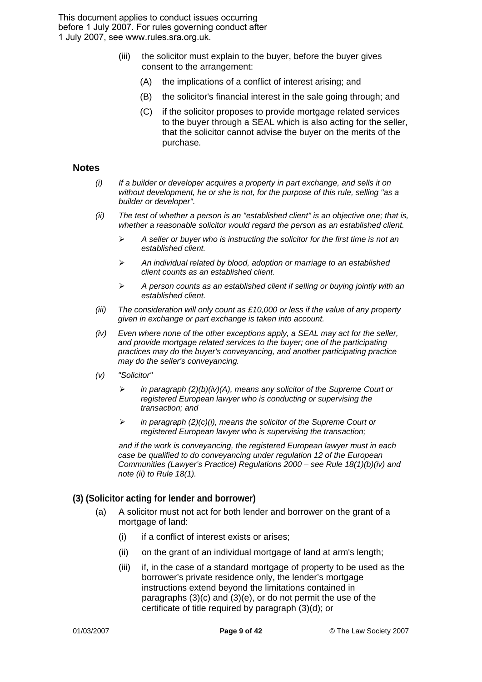- <span id="page-8-0"></span>(iii) the solicitor must explain to the buyer, before the buyer gives consent to the arrangement:
	- (A) the implications of a conflict of interest arising; and
	- (B) the solicitor's financial interest in the sale going through; and
	- (C) if the solicitor proposes to provide mortgage related services to the buyer through a SEAL which is also acting for the seller, that the solicitor cannot advise the buyer on the merits of the purchase*.*

#### **Notes**

- *(i) If a builder or developer acquires a property in part exchange, and sells it on without development, he or she is not, for the purpose of this rule, selling "as a builder or developer".*
- *(ii) The test of whether a person is an "established client" is an objective one; that is, whether a reasonable solicitor would regard the person as an established client.*
	- ¾ *A seller or buyer who is instructing the solicitor for the first time is not an established client.*
	- ¾ *An individual related by blood, adoption or marriage to an established client counts as an established client.*
	- ¾ *A person counts as an established client if selling or buying jointly with an established client.*
- *(iii) The consideration will only count as £10,000 or less if the value of any property given in exchange or part exchange is taken into account.*
- *(iv) Even where none of the other exceptions apply, a SEAL may act for the seller, and provide mortgage related services to the buyer; one of the participating practices may do the buyer's conveyancing, and another participating practice may do the seller's conveyancing.*
- *(v) "Solicitor"* 
	- ¾ *in paragraph (2)(b)(iv)(A), means any solicitor of the Supreme Court or registered European lawyer who is conducting or supervising the transaction; and*
	- ¾ *in paragraph (2)(c)(i), means the solicitor of the Supreme Court or registered European lawyer who is supervising the transaction;*

*and if the work is conveyancing, the registered European lawyer must in each case be qualified to do conveyancing under regulation 12 of the European Communities (Lawyer's Practice) Regulations 2000 – see Rule 18(1)(b)(iv) and note (ii) to Rule 18(1).* 

#### **(3) (Solicitor acting for lender and borrower)**

- (a) A solicitor must not act for both lender and borrower on the grant of a mortgage of land:
	- $(i)$  if a conflict of interest exists or arises:
	- (ii) on the grant of an individual mortgage of land at arm's length;
	- (iii) if, in the case of a standard mortgage of property to be used as the borrower's private residence only, the lender's mortgage instructions extend beyond the limitations contained in paragraphs (3)(c) and (3)(e), or do not permit the use of the certificate of title required by paragraph (3)(d); or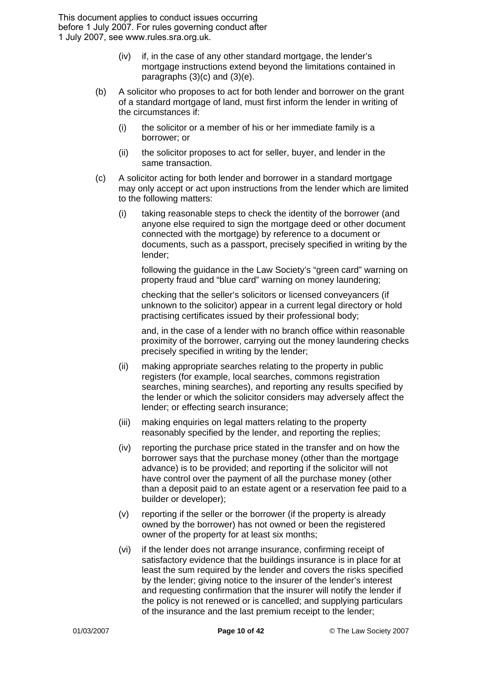- (iv) if, in the case of any other standard mortgage, the lender's mortgage instructions extend beyond the limitations contained in paragraphs (3)(c) and (3)(e).
- (b) A solicitor who proposes to act for both lender and borrower on the grant of a standard mortgage of land, must first inform the lender in writing of the circumstances if:
	- (i) the solicitor or a member of his or her immediate family is a borrower; or
	- (ii) the solicitor proposes to act for seller, buyer, and lender in the same transaction.
- (c) A solicitor acting for both lender and borrower in a standard mortgage may only accept or act upon instructions from the lender which are limited to the following matters:
	- (i) taking reasonable steps to check the identity of the borrower (and anyone else required to sign the mortgage deed or other document connected with the mortgage) by reference to a document or documents, such as a passport, precisely specified in writing by the lender;

following the guidance in the Law Society's "green card" warning on property fraud and "blue card" warning on money laundering;

checking that the seller's solicitors or licensed conveyancers (if unknown to the solicitor) appear in a current legal directory or hold practising certificates issued by their professional body;

and, in the case of a lender with no branch office within reasonable proximity of the borrower, carrying out the money laundering checks precisely specified in writing by the lender;

- (ii) making appropriate searches relating to the property in public registers (for example, local searches, commons registration searches, mining searches), and reporting any results specified by the lender or which the solicitor considers may adversely affect the lender; or effecting search insurance;
- (iii) making enquiries on legal matters relating to the property reasonably specified by the lender, and reporting the replies;
- (iv) reporting the purchase price stated in the transfer and on how the borrower says that the purchase money (other than the mortgage advance) is to be provided; and reporting if the solicitor will not have control over the payment of all the purchase money (other than a deposit paid to an estate agent or a reservation fee paid to a builder or developer);
- (v) reporting if the seller or the borrower (if the property is already owned by the borrower) has not owned or been the registered owner of the property for at least six months;
- (vi) if the lender does not arrange insurance, confirming receipt of satisfactory evidence that the buildings insurance is in place for at least the sum required by the lender and covers the risks specified by the lender; giving notice to the insurer of the lender's interest and requesting confirmation that the insurer will notify the lender if the policy is not renewed or is cancelled; and supplying particulars of the insurance and the last premium receipt to the lender;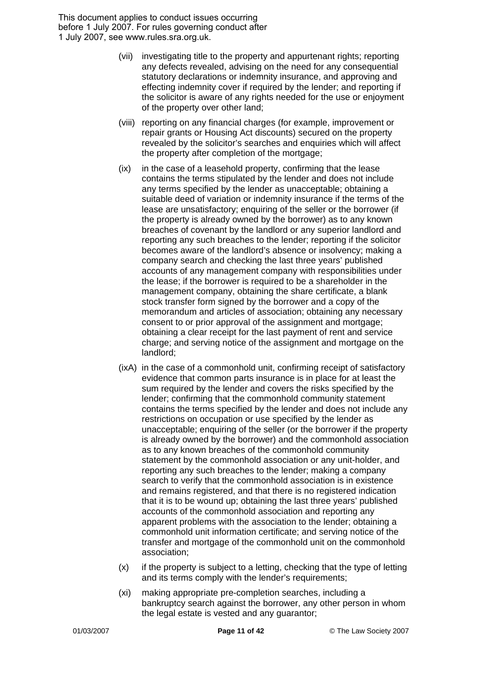- (vii) investigating title to the property and appurtenant rights; reporting any defects revealed, advising on the need for any consequential statutory declarations or indemnity insurance, and approving and effecting indemnity cover if required by the lender; and reporting if the solicitor is aware of any rights needed for the use or enjoyment of the property over other land;
- (viii) reporting on any financial charges (for example, improvement or repair grants or Housing Act discounts) secured on the property revealed by the solicitor's searches and enquiries which will affect the property after completion of the mortgage;
- (ix) in the case of a leasehold property, confirming that the lease contains the terms stipulated by the lender and does not include any terms specified by the lender as unacceptable; obtaining a suitable deed of variation or indemnity insurance if the terms of the lease are unsatisfactory; enquiring of the seller or the borrower (if the property is already owned by the borrower) as to any known breaches of covenant by the landlord or any superior landlord and reporting any such breaches to the lender; reporting if the solicitor becomes aware of the landlord's absence or insolvency; making a company search and checking the last three years' published accounts of any management company with responsibilities under the lease; if the borrower is required to be a shareholder in the management company, obtaining the share certificate, a blank stock transfer form signed by the borrower and a copy of the memorandum and articles of association; obtaining any necessary consent to or prior approval of the assignment and mortgage; obtaining a clear receipt for the last payment of rent and service charge; and serving notice of the assignment and mortgage on the landlord;
- (ixA) in the case of a commonhold unit, confirming receipt of satisfactory evidence that common parts insurance is in place for at least the sum required by the lender and covers the risks specified by the lender; confirming that the commonhold community statement contains the terms specified by the lender and does not include any restrictions on occupation or use specified by the lender as unacceptable; enquiring of the seller (or the borrower if the property is already owned by the borrower) and the commonhold association as to any known breaches of the commonhold community statement by the commonhold association or any unit-holder, and reporting any such breaches to the lender; making a company search to verify that the commonhold association is in existence and remains registered, and that there is no registered indication that it is to be wound up; obtaining the last three years' published accounts of the commonhold association and reporting any apparent problems with the association to the lender; obtaining a commonhold unit information certificate; and serving notice of the transfer and mortgage of the commonhold unit on the commonhold association;
- (x) if the property is subject to a letting, checking that the type of letting and its terms comply with the lender's requirements:
- (xi) making appropriate pre-completion searches, including a bankruptcy search against the borrower, any other person in whom the legal estate is vested and any guarantor;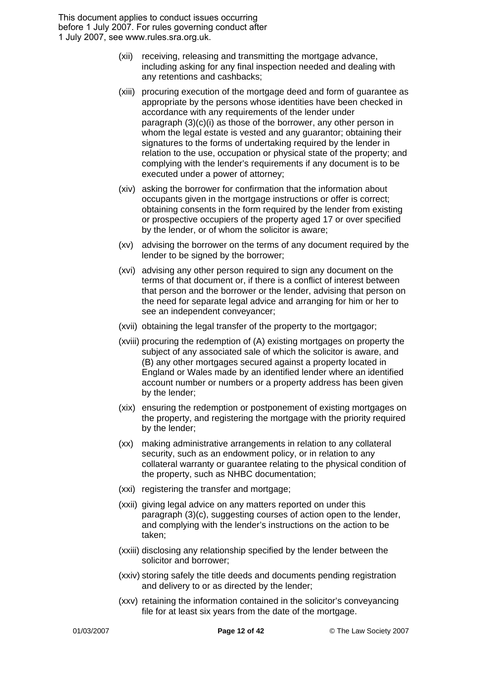- (xii) receiving, releasing and transmitting the mortgage advance, including asking for any final inspection needed and dealing with any retentions and cashbacks;
- (xiii) procuring execution of the mortgage deed and form of guarantee as appropriate by the persons whose identities have been checked in accordance with any requirements of the lender under paragraph (3)(c)(i) as those of the borrower, any other person in whom the legal estate is vested and any guarantor; obtaining their signatures to the forms of undertaking required by the lender in relation to the use, occupation or physical state of the property; and complying with the lender's requirements if any document is to be executed under a power of attorney;
- (xiv) asking the borrower for confirmation that the information about occupants given in the mortgage instructions or offer is correct; obtaining consents in the form required by the lender from existing or prospective occupiers of the property aged 17 or over specified by the lender, or of whom the solicitor is aware;
- (xv) advising the borrower on the terms of any document required by the lender to be signed by the borrower;
- (xvi) advising any other person required to sign any document on the terms of that document or, if there is a conflict of interest between that person and the borrower or the lender, advising that person on the need for separate legal advice and arranging for him or her to see an independent conveyancer;
- (xvii) obtaining the legal transfer of the property to the mortgagor;
- (xviii) procuring the redemption of (A) existing mortgages on property the subject of any associated sale of which the solicitor is aware, and (B) any other mortgages secured against a property located in England or Wales made by an identified lender where an identified account number or numbers or a property address has been given by the lender;
- (xix) ensuring the redemption or postponement of existing mortgages on the property, and registering the mortgage with the priority required by the lender;
- (xx) making administrative arrangements in relation to any collateral security, such as an endowment policy, or in relation to any collateral warranty or guarantee relating to the physical condition of the property, such as NHBC documentation;
- (xxi) registering the transfer and mortgage;
- (xxii) giving legal advice on any matters reported on under this paragraph (3)(c), suggesting courses of action open to the lender, and complying with the lender's instructions on the action to be taken;
- (xxiii) disclosing any relationship specified by the lender between the solicitor and borrower;
- (xxiv) storing safely the title deeds and documents pending registration and delivery to or as directed by the lender;
- (xxv) retaining the information contained in the solicitor's conveyancing file for at least six years from the date of the mortgage.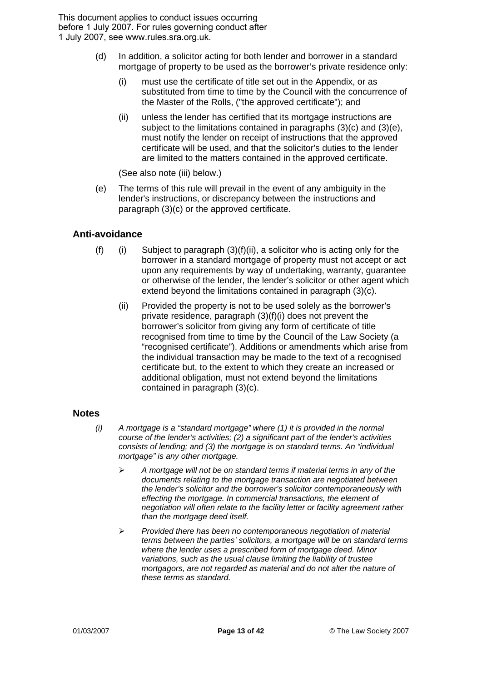- (d) In addition, a solicitor acting for both lender and borrower in a standard mortgage of property to be used as the borrower's private residence only:
	- (i) must use the certificate of title set out in the Appendix, or as substituted from time to time by the Council with the concurrence of the Master of the Rolls, ("the approved certificate"); and
	- (ii) unless the lender has certified that its mortgage instructions are subject to the limitations contained in paragraphs (3)(c) and (3)(e), must notify the lender on receipt of instructions that the approved certificate will be used, and that the solicitor's duties to the lender are limited to the matters contained in the approved certificate.

(See also note (iii) below.)

(e) The terms of this rule will prevail in the event of any ambiguity in the lender's instructions, or discrepancy between the instructions and paragraph (3)(c) or the approved certificate.

### **Anti-avoidance**

- (f) (i) Subject to paragraph  $(3)(f)(ii)$ , a solicitor who is acting only for the borrower in a standard mortgage of property must not accept or act upon any requirements by way of undertaking, warranty, guarantee or otherwise of the lender, the lender's solicitor or other agent which extend beyond the limitations contained in paragraph (3)(c).
	- (ii) Provided the property is not to be used solely as the borrower's private residence, paragraph (3)(f)(i) does not prevent the borrower's solicitor from giving any form of certificate of title recognised from time to time by the Council of the Law Society (a "recognised certificate"). Additions or amendments which arise from the individual transaction may be made to the text of a recognised certificate but, to the extent to which they create an increased or additional obligation, must not extend beyond the limitations contained in paragraph (3)(c).

### **Notes**

- *(i) A mortgage is a "standard mortgage" where (1) it is provided in the normal course of the lender's activities; (2) a significant part of the lender's activities consists of lending; and (3) the mortgage is on standard terms. An "individual mortgage" is any other mortgage.* 
	- ¾ *A mortgage will not be on standard terms if material terms in any of the documents relating to the mortgage transaction are negotiated between the lender's solicitor and the borrower's solicitor contemporaneously with effecting the mortgage. In commercial transactions, the element of negotiation will often relate to the facility letter or facility agreement rather than the mortgage deed itself.*
	- ¾ *Provided there has been no contemporaneous negotiation of material terms between the parties' solicitors, a mortgage will be on standard terms where the lender uses a prescribed form of mortgage deed. Minor variations, such as the usual clause limiting the liability of trustee mortgagors, are not regarded as material and do not alter the nature of these terms as standard.*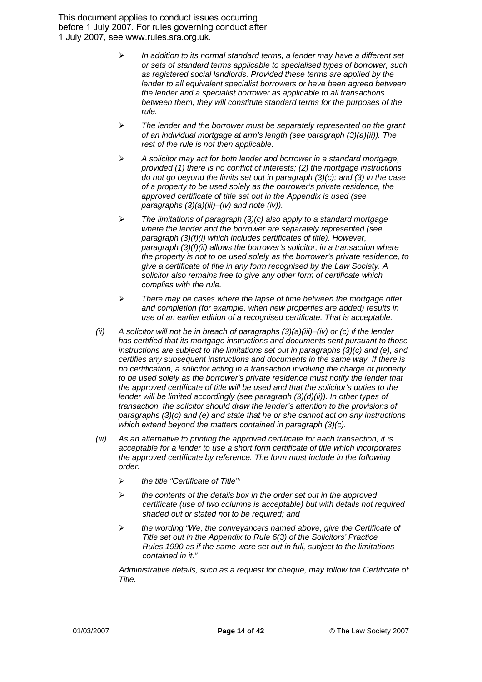- ¾ *In addition to its normal standard terms, a lender may have a different set or sets of standard terms applicable to specialised types of borrower, such as registered social landlords. Provided these terms are applied by the lender to all equivalent specialist borrowers or have been agreed between the lender and a specialist borrower as applicable to all transactions between them, they will constitute standard terms for the purposes of the rule.*
- ¾ *The lender and the borrower must be separately represented on the grant of an individual mortgage at arm's length (see paragraph (3)(a)(ii)). The rest of the rule is not then applicable.*
- ¾ *A solicitor may act for both lender and borrower in a standard mortgage, provided (1) there is no conflict of interests; (2) the mortgage instructions do not go beyond the limits set out in paragraph (3)(c); and (3) in the case of a property to be used solely as the borrower's private residence, the approved certificate of title set out in the Appendix is used (see paragraphs (3)(a)(iii)–(iv) and note (iv)).*
- ¾ *The limitations of paragraph (3)(c) also apply to a standard mortgage where the lender and the borrower are separately represented (see paragraph (3)(f)(i) which includes certificates of title). However, paragraph (3)(f)(ii) allows the borrower's solicitor, in a transaction where the property is not to be used solely as the borrower's private residence, to give a certificate of title in any form recognised by the Law Society. A solicitor also remains free to give any other form of certificate which complies with the rule.*
- ¾ *There may be cases where the lapse of time between the mortgage offer and completion (for example, when new properties are added) results in use of an earlier edition of a recognised certificate. That is acceptable.*
- *(ii) A solicitor will not be in breach of paragraphs (3)(a)(iii)–(iv) or (c) if the lender has certified that its mortgage instructions and documents sent pursuant to those instructions are subject to the limitations set out in paragraphs (3)(c) and (e), and certifies any subsequent instructions and documents in the same way. If there is no certification, a solicitor acting in a transaction involving the charge of property to be used solely as the borrower's private residence must notify the lender that the approved certificate of title will be used and that the solicitor's duties to the lender will be limited accordingly (see paragraph (3)(d)(ii)). In other types of transaction, the solicitor should draw the lender's attention to the provisions of paragraphs (3)(c) and (e) and state that he or she cannot act on any instructions which extend beyond the matters contained in paragraph (3)(c).*
- *(iii) As an alternative to printing the approved certificate for each transaction, it is acceptable for a lender to use a short form certificate of title which incorporates the approved certificate by reference. The form must include in the following order:* 
	- ¾ *the title "Certificate of Title";*
	- ¾ *the contents of the details box in the order set out in the approved certificate (use of two columns is acceptable) but with details not required shaded out or stated not to be required; and*
	- ¾ *the wording "We, the conveyancers named above, give the Certificate of Title set out in the Appendix to Rule 6(3) of the Solicitors' Practice Rules 1990 as if the same were set out in full, subject to the limitations contained in it."*

*Administrative details, such as a request for cheque, may follow the Certificate of Title.*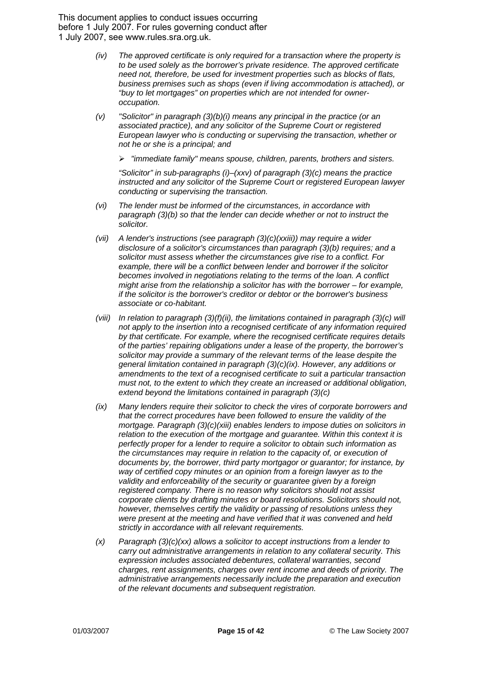- *(iv) The approved certificate is only required for a transaction where the property is to be used solely as the borrower's private residence. The approved certificate need not, therefore, be used for investment properties such as blocks of flats, business premises such as shops (even if living accommodation is attached), or "buy to let mortgages" on properties which are not intended for owneroccupation.*
- *(v) "Solicitor" in paragraph (3)(b)(i) means any principal in the practice (or an associated practice), and any solicitor of the Supreme Court or registered European lawyer who is conducting or supervising the transaction, whether or not he or she is a principal; and*

¾ *"immediate family" means spouse, children, parents, brothers and sisters.*

*"Solicitor" in sub-paragraphs (i)–(xxv) of paragraph (3)(c) means the practice instructed and any solicitor of the Supreme Court or registered European lawyer conducting or supervising the transaction.*

- *(vi) The lender must be informed of the circumstances, in accordance with paragraph (3)(b) so that the lender can decide whether or not to instruct the solicitor.*
- *(vii) A lender's instructions (see paragraph (3)(c)(xxiii)) may require a wider disclosure of a solicitor's circumstances than paragraph (3)(b) requires; and a solicitor must assess whether the circumstances give rise to a conflict. For example, there will be a conflict between lender and borrower if the solicitor becomes involved in negotiations relating to the terms of the loan. A conflict might arise from the relationship a solicitor has with the borrower – for example, if the solicitor is the borrower's creditor or debtor or the borrower's business associate or co-habitant.*
- *(viii) In relation to paragraph (3)(f)(ii), the limitations contained in paragraph (3)(c) will not apply to the insertion into a recognised certificate of any information required by that certificate. For example, where the recognised certificate requires details of the parties' repairing obligations under a lease of the property, the borrower's solicitor may provide a summary of the relevant terms of the lease despite the general limitation contained in paragraph (3)(c)(ix). However, any additions or amendments to the text of a recognised certificate to suit a particular transaction must not, to the extent to which they create an increased or additional obligation, extend beyond the limitations contained in paragraph (3)(c)*
- *(ix) Many lenders require their solicitor to check the vires of corporate borrowers and that the correct procedures have been followed to ensure the validity of the mortgage. Paragraph (3)(c)(xiii) enables lenders to impose duties on solicitors in relation to the execution of the mortgage and guarantee. Within this context it is perfectly proper for a lender to require a solicitor to obtain such information as the circumstances may require in relation to the capacity of, or execution of documents by, the borrower, third party mortgagor or guarantor; for instance, by way of certified copy minutes or an opinion from a foreign lawyer as to the validity and enforceability of the security or guarantee given by a foreign registered company. There is no reason why solicitors should not assist corporate clients by drafting minutes or board resolutions. Solicitors should not, however, themselves certify the validity or passing of resolutions unless they were present at the meeting and have verified that it was convened and held strictly in accordance with all relevant requirements.*
- *(x) Paragraph (3)(c)(xx) allows a solicitor to accept instructions from a lender to carry out administrative arrangements in relation to any collateral security. This expression includes associated debentures, collateral warranties, second charges, rent assignments, charges over rent income and deeds of priority. The administrative arrangements necessarily include the preparation and execution of the relevant documents and subsequent registration.*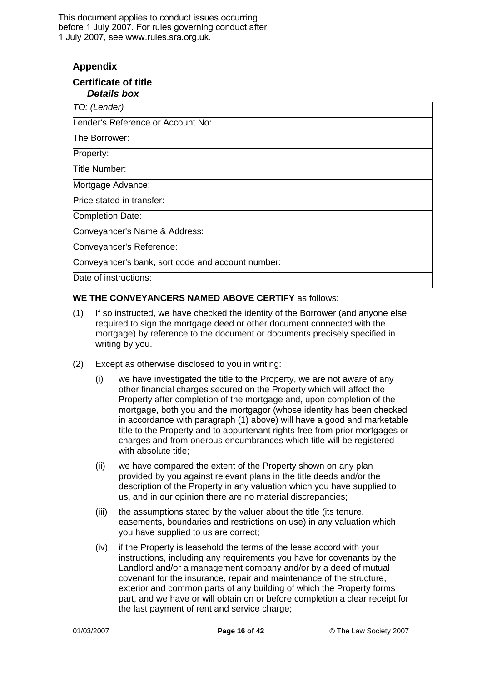## **Appendix**

#### **Certificate of title**  *Details box*

| TO: (Lender)                                      |  |
|---------------------------------------------------|--|
| Lender's Reference or Account No:                 |  |
| The Borrower:                                     |  |
| Property:                                         |  |
| Title Number:                                     |  |
| Mortgage Advance:                                 |  |
| Price stated in transfer:                         |  |
| Completion Date:                                  |  |
| Conveyancer's Name & Address:                     |  |
| Conveyancer's Reference:                          |  |
| Conveyancer's bank, sort code and account number: |  |
| Date of instructions:                             |  |

### **WE THE CONVEYANCERS NAMED ABOVE CERTIFY** as follows:

- (1) If so instructed, we have checked the identity of the Borrower (and anyone else required to sign the mortgage deed or other document connected with the mortgage) by reference to the document or documents precisely specified in writing by you.
- (2) Except as otherwise disclosed to you in writing:
	- (i) we have investigated the title to the Property, we are not aware of any other financial charges secured on the Property which will affect the Property after completion of the mortgage and, upon completion of the mortgage, both you and the mortgagor (whose identity has been checked in accordance with paragraph (1) above) will have a good and marketable title to the Property and to appurtenant rights free from prior mortgages or charges and from onerous encumbrances which title will be registered with absolute title:
	- (ii) we have compared the extent of the Property shown on any plan provided by you against relevant plans in the title deeds and/or the description of the Property in any valuation which you have supplied to us, and in our opinion there are no material discrepancies;
	- (iii) the assumptions stated by the valuer about the title (its tenure, easements, boundaries and restrictions on use) in any valuation which you have supplied to us are correct;
	- (iv) if the Property is leasehold the terms of the lease accord with your instructions, including any requirements you have for covenants by the Landlord and/or a management company and/or by a deed of mutual covenant for the insurance, repair and maintenance of the structure, exterior and common parts of any building of which the Property forms part, and we have or will obtain on or before completion a clear receipt for the last payment of rent and service charge;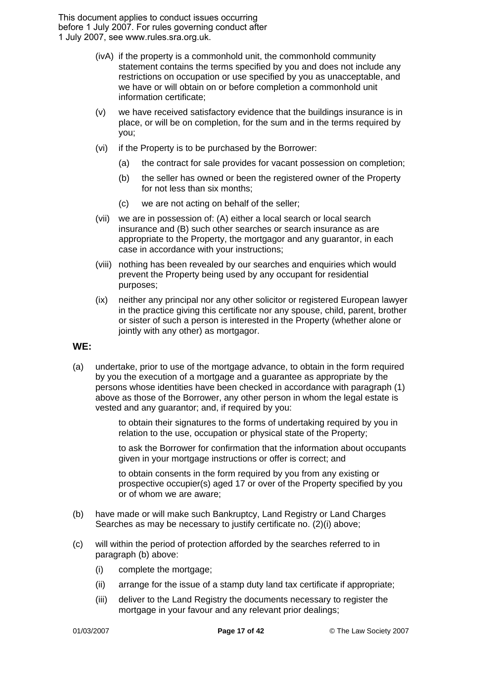- (ivA) if the property is a commonhold unit, the commonhold community statement contains the terms specified by you and does not include any restrictions on occupation or use specified by you as unacceptable, and we have or will obtain on or before completion a commonhold unit information certificate;
- (v) we have received satisfactory evidence that the buildings insurance is in place, or will be on completion, for the sum and in the terms required by you;
- (vi) if the Property is to be purchased by the Borrower:
	- (a) the contract for sale provides for vacant possession on completion;
	- (b) the seller has owned or been the registered owner of the Property for not less than six months;
	- (c) we are not acting on behalf of the seller;
- (vii) we are in possession of: (A) either a local search or local search insurance and (B) such other searches or search insurance as are appropriate to the Property, the mortgagor and any guarantor, in each case in accordance with your instructions;
- (viii) nothing has been revealed by our searches and enquiries which would prevent the Property being used by any occupant for residential purposes;
- (ix) neither any principal nor any other solicitor or registered European lawyer in the practice giving this certificate nor any spouse, child, parent, brother or sister of such a person is interested in the Property (whether alone or jointly with any other) as mortgagor.

### **WE:**

(a) undertake, prior to use of the mortgage advance, to obtain in the form required by you the execution of a mortgage and a guarantee as appropriate by the persons whose identities have been checked in accordance with paragraph (1) above as those of the Borrower, any other person in whom the legal estate is vested and any guarantor; and, if required by you:

> to obtain their signatures to the forms of undertaking required by you in relation to the use, occupation or physical state of the Property;

to ask the Borrower for confirmation that the information about occupants given in your mortgage instructions or offer is correct; and

to obtain consents in the form required by you from any existing or prospective occupier(s) aged 17 or over of the Property specified by you or of whom we are aware;

- (b) have made or will make such Bankruptcy, Land Registry or Land Charges Searches as may be necessary to justify certificate no. (2)(i) above;
- (c) will within the period of protection afforded by the searches referred to in paragraph (b) above:
	- (i) complete the mortgage;
	- (ii) arrange for the issue of a stamp duty land tax certificate if appropriate;
	- (iii) deliver to the Land Registry the documents necessary to register the mortgage in your favour and any relevant prior dealings;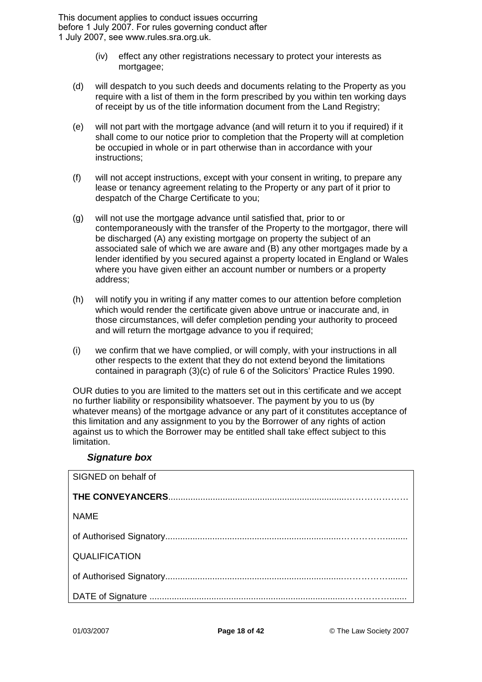- (iv) effect any other registrations necessary to protect your interests as mortgagee;
- (d) will despatch to you such deeds and documents relating to the Property as you require with a list of them in the form prescribed by you within ten working days of receipt by us of the title information document from the Land Registry;
- (e) will not part with the mortgage advance (and will return it to you if required) if it shall come to our notice prior to completion that the Property will at completion be occupied in whole or in part otherwise than in accordance with your instructions;
- (f) will not accept instructions, except with your consent in writing, to prepare any lease or tenancy agreement relating to the Property or any part of it prior to despatch of the Charge Certificate to you;
- (g) will not use the mortgage advance until satisfied that, prior to or contemporaneously with the transfer of the Property to the mortgagor, there will be discharged (A) any existing mortgage on property the subject of an associated sale of which we are aware and (B) any other mortgages made by a lender identified by you secured against a property located in England or Wales where you have given either an account number or numbers or a property address;
- (h) will notify you in writing if any matter comes to our attention before completion which would render the certificate given above untrue or inaccurate and, in those circumstances, will defer completion pending your authority to proceed and will return the mortgage advance to you if required;
- (i) we confirm that we have complied, or will comply, with your instructions in all other respects to the extent that they do not extend beyond the limitations contained in paragraph (3)(c) of rule 6 of the Solicitors' Practice Rules 1990.

OUR duties to you are limited to the matters set out in this certificate and we accept no further liability or responsibility whatsoever. The payment by you to us (by whatever means) of the mortgage advance or any part of it constitutes acceptance of this limitation and any assignment to you by the Borrower of any rights of action against us to which the Borrower may be entitled shall take effect subject to this limitation.

### *Signature box*

| SIGNED on behalf of |
|---------------------|
|                     |
| <b>NAMF</b>         |
|                     |
| QUALIFICATION       |
|                     |
|                     |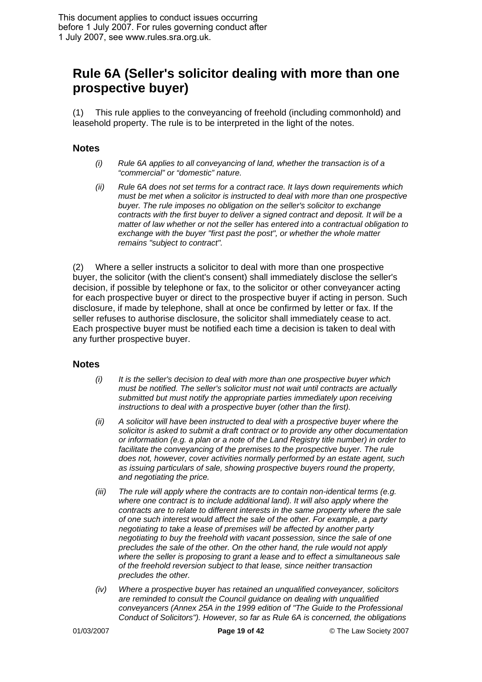# <span id="page-18-0"></span>**Rule 6A (Seller's solicitor dealing with more than one prospective buyer)**

(1) This rule applies to the conveyancing of freehold (including commonhold) and leasehold property. The rule is to be interpreted in the light of the notes.

### **Notes**

- *(i) Rule 6A applies to all conveyancing of land, whether the transaction is of a "commercial" or "domestic" nature.*
- *(ii) Rule 6A does not set terms for a contract race. It lays down requirements which must be met when a solicitor is instructed to deal with more than one prospective buyer. The rule imposes no obligation on the seller's solicitor to exchange contracts with the first buyer to deliver a signed contract and deposit. It will be a matter of law whether or not the seller has entered into a contractual obligation to exchange with the buyer "first past the post", or whether the whole matter remains "subject to contract".*

(2) Where a seller instructs a solicitor to deal with more than one prospective buyer, the solicitor (with the client's consent) shall immediately disclose the seller's decision, if possible by telephone or fax, to the solicitor or other conveyancer acting for each prospective buyer or direct to the prospective buyer if acting in person. Such disclosure, if made by telephone, shall at once be confirmed by letter or fax. If the seller refuses to authorise disclosure, the solicitor shall immediately cease to act. Each prospective buyer must be notified each time a decision is taken to deal with any further prospective buyer.

#### **Notes**

- *(i) It is the seller's decision to deal with more than one prospective buyer which must be notified. The seller's solicitor must not wait until contracts are actually submitted but must notify the appropriate parties immediately upon receiving instructions to deal with a prospective buyer (other than the first).*
- *(ii) A solicitor will have been instructed to deal with a prospective buyer where the solicitor is asked to submit a draft contract or to provide any other documentation or information (e.g. a plan or a note of the Land Registry title number) in order to*  facilitate the conveyancing of the premises to the prospective buyer. The rule *does not, however, cover activities normally performed by an estate agent, such as issuing particulars of sale, showing prospective buyers round the property, and negotiating the price.*
- *(iii) The rule will apply where the contracts are to contain non-identical terms (e.g.*  where one contract is to include additional land). It will also apply where the *contracts are to relate to different interests in the same property where the sale of one such interest would affect the sale of the other. For example, a party negotiating to take a lease of premises will be affected by another party negotiating to buy the freehold with vacant possession, since the sale of one precludes the sale of the other. On the other hand, the rule would not apply where the seller is proposing to grant a lease and to effect a simultaneous sale of the freehold reversion subject to that lease, since neither transaction precludes the other.*
- *(iv) Where a prospective buyer has retained an unqualified conveyancer, solicitors are reminded to consult the Council guidance on dealing with unqualified conveyancers (Annex 25A in the 1999 edition of "The Guide to the Professional Conduct of Solicitors"). However, so far as Rule 6A is concerned, the obligations*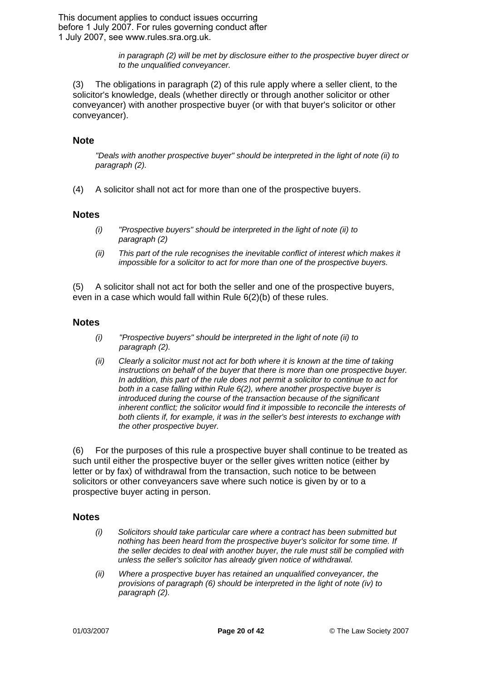> *in paragraph (2) will be met by disclosure either to the prospective buyer direct or to the unqualified conveyancer.*

(3) The obligations in paragraph (2) of this rule apply where a seller client, to the solicitor's knowledge, deals (whether directly or through another solicitor or other conveyancer) with another prospective buyer (or with that buyer's solicitor or other conveyancer).

### **Note**

*"Deals with another prospective buyer" should be interpreted in the light of note (ii) to paragraph (2).*

(4) A solicitor shall not act for more than one of the prospective buyers.

### **Notes**

- *(i) "Prospective buyers" should be interpreted in the light of note (ii) to paragraph (2)*
- *(ii) This part of the rule recognises the inevitable conflict of interest which makes it impossible for a solicitor to act for more than one of the prospective buyers.*

(5) A solicitor shall not act for both the seller and one of the prospective buyers, even in a case which would fall within Rule 6(2)(b) of these rules.

### **Notes**

- *(i) "Prospective buyers" should be interpreted in the light of note (ii) to paragraph (2).*
- *(ii) Clearly a solicitor must not act for both where it is known at the time of taking instructions on behalf of the buyer that there is more than one prospective buyer. In addition, this part of the rule does not permit a solicitor to continue to act for both in a case falling within Rule 6(2), where another prospective buyer is introduced during the course of the transaction because of the significant inherent conflict; the solicitor would find it impossible to reconcile the interests of both clients if, for example, it was in the seller's best interests to exchange with the other prospective buyer.*

(6) For the purposes of this rule a prospective buyer shall continue to be treated as such until either the prospective buyer or the seller gives written notice (either by letter or by fax) of withdrawal from the transaction, such notice to be between solicitors or other conveyancers save where such notice is given by or to a prospective buyer acting in person.

#### **Notes**

- *(i) Solicitors should take particular care where a contract has been submitted but nothing has been heard from the prospective buyer's solicitor for some time. If the seller decides to deal with another buyer, the rule must still be complied with unless the seller's solicitor has already given notice of withdrawal.*
- *(ii) Where a prospective buyer has retained an unqualified conveyancer, the provisions of paragraph (6) should be interpreted in the light of note (iv) to paragraph (2).*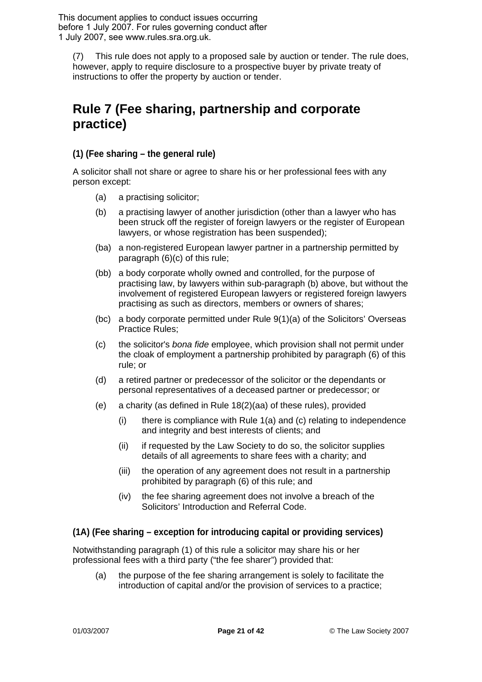<span id="page-20-0"></span>(7) This rule does not apply to a proposed sale by auction or tender. The rule does, however, apply to require disclosure to a prospective buyer by private treaty of instructions to offer the property by auction or tender.

# **Rule 7 (Fee sharing, partnership and corporate practice)**

### **(1) (Fee sharing – the general rule)**

A solicitor shall not share or agree to share his or her professional fees with any person except:

- (a) a practising solicitor;
- (b) a practising lawyer of another jurisdiction (other than a lawyer who has been struck off the register of foreign lawyers or the register of European lawyers, or whose registration has been suspended);
- (ba) a non-registered European lawyer partner in a partnership permitted by paragraph (6)(c) of this rule;
- (bb) a body corporate wholly owned and controlled, for the purpose of practising law, by lawyers within sub-paragraph (b) above, but without the involvement of registered European lawyers or registered foreign lawyers practising as such as directors, members or owners of shares;
- (bc) a body corporate permitted under Rule 9(1)(a) of the Solicitors' Overseas Practice Rules;
- (c) the solicitor's *bona fide* employee, which provision shall not permit under the cloak of employment a partnership prohibited by paragraph (6) of this rule; or
- (d) a retired partner or predecessor of the solicitor or the dependants or personal representatives of a deceased partner or predecessor; or
- (e) a charity (as defined in Rule 18(2)(aa) of these rules), provided
	- $(i)$  there is compliance with Rule 1(a) and (c) relating to independence and integrity and best interests of clients; and
	- (ii) if requested by the Law Society to do so, the solicitor supplies details of all agreements to share fees with a charity; and
	- (iii) the operation of any agreement does not result in a partnership prohibited by paragraph (6) of this rule; and
	- (iv) the fee sharing agreement does not involve a breach of the Solicitors' Introduction and Referral Code.

## **(1A) (Fee sharing – exception for introducing capital or providing services)**

Notwithstanding paragraph (1) of this rule a solicitor may share his or her professional fees with a third party ("the fee sharer") provided that:

(a) the purpose of the fee sharing arrangement is solely to facilitate the introduction of capital and/or the provision of services to a practice;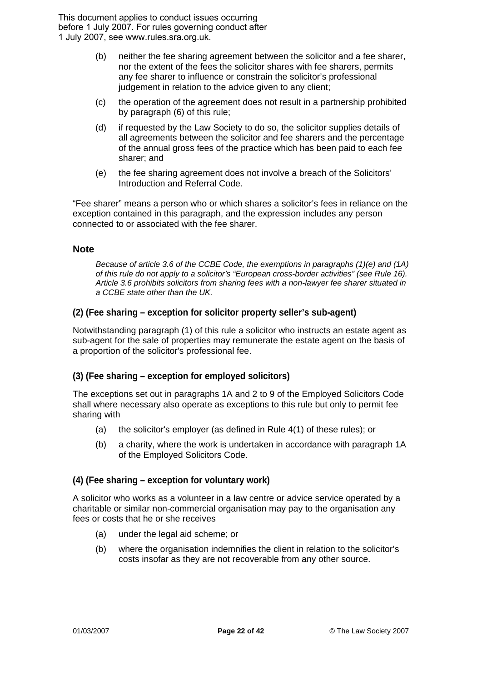- <span id="page-21-0"></span>(b) neither the fee sharing agreement between the solicitor and a fee sharer, nor the extent of the fees the solicitor shares with fee sharers, permits any fee sharer to influence or constrain the solicitor's professional judgement in relation to the advice given to any client:
- (c) the operation of the agreement does not result in a partnership prohibited by paragraph (6) of this rule;
- (d) if requested by the Law Society to do so, the solicitor supplies details of all agreements between the solicitor and fee sharers and the percentage of the annual gross fees of the practice which has been paid to each fee sharer; and
- (e) the fee sharing agreement does not involve a breach of the Solicitors' Introduction and Referral Code.

"Fee sharer" means a person who or which shares a solicitor's fees in reliance on the exception contained in this paragraph, and the expression includes any person connected to or associated with the fee sharer.

### **Note**

*Because of article 3.6 of the CCBE Code, the exemptions in paragraphs (1)(e) and (1A) of this rule do not apply to a solicitor's "European cross-border activities" (see Rule 16). Article 3.6 prohibits solicitors from sharing fees with a non-lawyer fee sharer situated in a CCBE state other than the UK.* 

## **(2) (Fee sharing – exception for solicitor property seller's sub-agent)**

Notwithstanding paragraph (1) of this rule a solicitor who instructs an estate agent as sub-agent for the sale of properties may remunerate the estate agent on the basis of a proportion of the solicitor's professional fee.

## **(3) (Fee sharing – exception for employed solicitors)**

The exceptions set out in paragraphs 1A and 2 to 9 of the Employed Solicitors Code shall where necessary also operate as exceptions to this rule but only to permit fee sharing with

- (a) the solicitor's employer (as defined in Rule 4(1) of these rules); or
- (b) a charity, where the work is undertaken in accordance with paragraph 1A of the Employed Solicitors Code.

### **(4) (Fee sharing – exception for voluntary work)**

A solicitor who works as a volunteer in a law centre or advice service operated by a charitable or similar non-commercial organisation may pay to the organisation any fees or costs that he or she receives

- (a) under the legal aid scheme; or
- (b) where the organisation indemnifies the client in relation to the solicitor's costs insofar as they are not recoverable from any other source.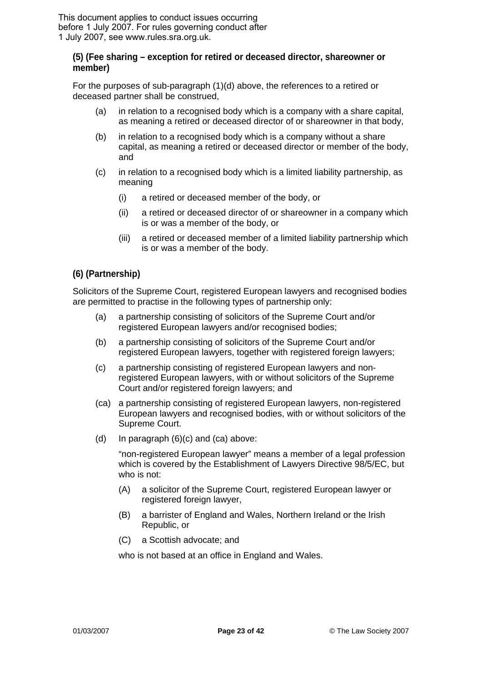### <span id="page-22-0"></span>**(5) (Fee sharing – exception for retired or deceased director, shareowner or member)**

For the purposes of sub-paragraph (1)(d) above, the references to a retired or deceased partner shall be construed,

- (a) in relation to a recognised body which is a company with a share capital, as meaning a retired or deceased director of or shareowner in that body,
- (b) in relation to a recognised body which is a company without a share capital, as meaning a retired or deceased director or member of the body, and
- (c) in relation to a recognised body which is a limited liability partnership, as meaning
	- (i) a retired or deceased member of the body, or
	- (ii) a retired or deceased director of or shareowner in a company which is or was a member of the body, or
	- (iii) a retired or deceased member of a limited liability partnership which is or was a member of the body.

## **(6) (Partnership)**

Solicitors of the Supreme Court, registered European lawyers and recognised bodies are permitted to practise in the following types of partnership only:

- (a) a partnership consisting of solicitors of the Supreme Court and/or registered European lawyers and/or recognised bodies;
- (b) a partnership consisting of solicitors of the Supreme Court and/or registered European lawyers, together with registered foreign lawyers;
- (c) a partnership consisting of registered European lawyers and nonregistered European lawyers, with or without solicitors of the Supreme Court and/or registered foreign lawyers; and
- (ca) a partnership consisting of registered European lawyers, non-registered European lawyers and recognised bodies, with or without solicitors of the Supreme Court.
- (d) In paragraph  $(6)(c)$  and  $(ca)$  above:

"non-registered European lawyer" means a member of a legal profession which is covered by the Establishment of Lawyers Directive 98/5/EC, but who is not:

- (A) a solicitor of the Supreme Court, registered European lawyer or registered foreign lawyer,
- (B) a barrister of England and Wales, Northern Ireland or the Irish Republic, or
- (C) a Scottish advocate; and

who is not based at an office in England and Wales.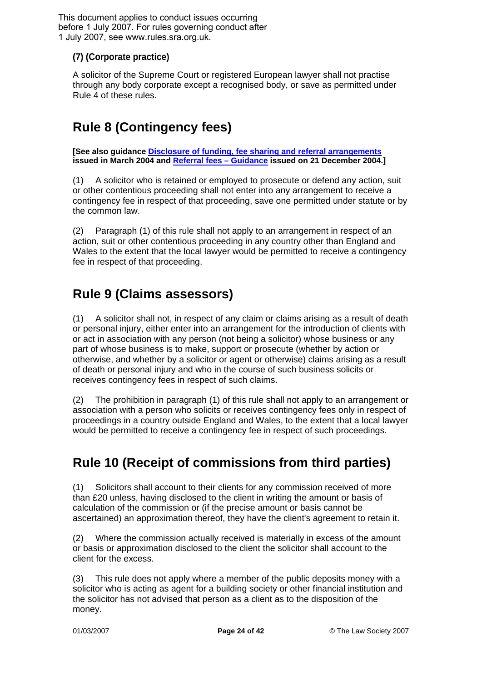## <span id="page-23-0"></span>**(7) (Corporate practice)**

A solicitor of the Supreme Court or registered European lawyer shall not practise through any body corporate except a recognised body, or save as permitted under Rule 4 of these rules.

# **Rule 8 (Contingency fees)**

**[See also guidance [Disclosure of funding, fee sharing and referral arrangements](http://www.lawsociety.org.uk/documents/downloads/Profethics_Fund_Fee_Refer.pdf) issued in March 2004 and [Referral fees – Guidance](http://www.lawsociety.org.uk/documents/downloads/PE_ReferralFeesGuidance1205.pdf) issued on 21 December 2004.]** 

(1) A solicitor who is retained or employed to prosecute or defend any action, suit or other contentious proceeding shall not enter into any arrangement to receive a contingency fee in respect of that proceeding, save one permitted under statute or by the common law.

(2) Paragraph (1) of this rule shall not apply to an arrangement in respect of an action, suit or other contentious proceeding in any country other than England and Wales to the extent that the local lawyer would be permitted to receive a contingency fee in respect of that proceeding.

# **Rule 9 (Claims assessors)**

(1) A solicitor shall not, in respect of any claim or claims arising as a result of death or personal injury, either enter into an arrangement for the introduction of clients with or act in association with any person (not being a solicitor) whose business or any part of whose business is to make, support or prosecute (whether by action or otherwise, and whether by a solicitor or agent or otherwise) claims arising as a result of death or personal injury and who in the course of such business solicits or receives contingency fees in respect of such claims.

(2) The prohibition in paragraph (1) of this rule shall not apply to an arrangement or association with a person who solicits or receives contingency fees only in respect of proceedings in a country outside England and Wales, to the extent that a local lawyer would be permitted to receive a contingency fee in respect of such proceedings.

# **Rule 10 (Receipt of commissions from third parties)**

(1) Solicitors shall account to their clients for any commission received of more than £20 unless, having disclosed to the client in writing the amount or basis of calculation of the commission or (if the precise amount or basis cannot be ascertained) an approximation thereof, they have the client's agreement to retain it.

(2) Where the commission actually received is materially in excess of the amount or basis or approximation disclosed to the client the solicitor shall account to the client for the excess.

(3) This rule does not apply where a member of the public deposits money with a solicitor who is acting as agent for a building society or other financial institution and the solicitor has not advised that person as a client as to the disposition of the money.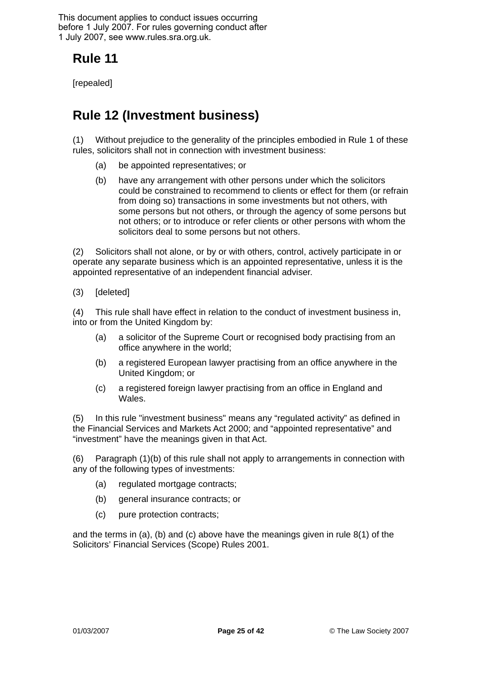# <span id="page-24-0"></span>**Rule 11**

[repealed]

# **Rule 12 (Investment business)**

(1) Without prejudice to the generality of the principles embodied in Rule 1 of these rules, solicitors shall not in connection with investment business:

- (a) be appointed representatives; or
- (b) have any arrangement with other persons under which the solicitors could be constrained to recommend to clients or effect for them (or refrain from doing so) transactions in some investments but not others, with some persons but not others, or through the agency of some persons but not others; or to introduce or refer clients or other persons with whom the solicitors deal to some persons but not others.

(2) Solicitors shall not alone, or by or with others, control, actively participate in or operate any separate business which is an appointed representative, unless it is the appointed representative of an independent financial adviser.

(3) [deleted]

(4) This rule shall have effect in relation to the conduct of investment business in, into or from the United Kingdom by:

- (a) a solicitor of the Supreme Court or recognised body practising from an office anywhere in the world;
- (b) a registered European lawyer practising from an office anywhere in the United Kingdom; or
- (c) a registered foreign lawyer practising from an office in England and Wales.

(5) In this rule "investment business" means any "regulated activity" as defined in the Financial Services and Markets Act 2000; and "appointed representative" and "investment" have the meanings given in that Act.

(6) Paragraph (1)(b) of this rule shall not apply to arrangements in connection with any of the following types of investments:

- (a) regulated mortgage contracts;
- (b) general insurance contracts; or
- (c) pure protection contracts;

and the terms in (a), (b) and (c) above have the meanings given in rule  $8(1)$  of the Solicitors' Financial Services (Scope) Rules 2001.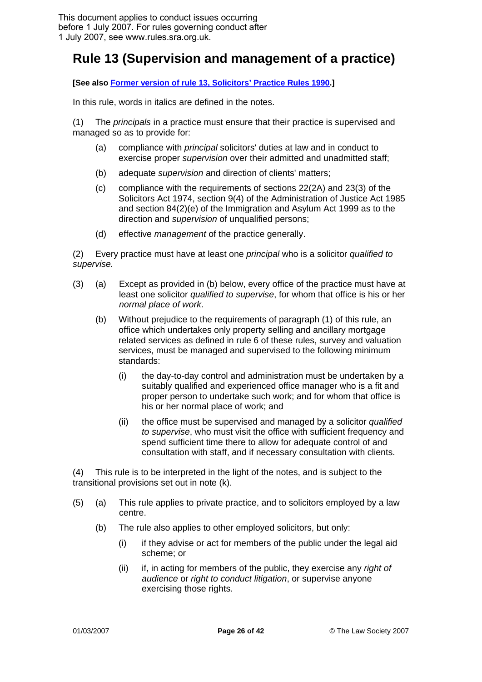# <span id="page-25-0"></span>**Rule 13 (Supervision and management of a practice)**

**[See also [Former version of rule 13, Solicitors' Practice Rules 1990](http://www.lawsociety.org.uk/documents/downloads/PE_SPR_oldRule13.pdf).]** 

In this rule, words in italics are defined in the notes.

(1) The *principals* in a practice must ensure that their practice is supervised and managed so as to provide for:

- (a) compliance with *principal* solicitors' duties at law and in conduct to exercise proper *supervision* over their admitted and unadmitted staff;
- (b) adequate *supervision* and direction of clients' matters;
- (c) compliance with the requirements of sections 22(2A) and 23(3) of the Solicitors Act 1974, section 9(4) of the Administration of Justice Act 1985 and section 84(2)(e) of the Immigration and Asylum Act 1999 as to the direction and *supervision* of unqualified persons;
- (d) effective *management* of the practice generally.

(2) Every practice must have at least one *principal* who is a solicitor *qualified to supervise.* 

- (3) (a) Except as provided in (b) below, every office of the practice must have at least one solicitor *qualified to supervise*, for whom that office is his or her *normal place of work*.
	- (b) Without prejudice to the requirements of paragraph (1) of this rule, an office which undertakes only property selling and ancillary mortgage related services as defined in rule 6 of these rules, survey and valuation services, must be managed and supervised to the following minimum standards:
		- (i) the day-to-day control and administration must be undertaken by a suitably qualified and experienced office manager who is a fit and proper person to undertake such work; and for whom that office is his or her normal place of work; and
		- (ii) the office must be supervised and managed by a solicitor *qualified to supervise*, who must visit the office with sufficient frequency and spend sufficient time there to allow for adequate control of and consultation with staff, and if necessary consultation with clients.

(4) This rule is to be interpreted in the light of the notes, and is subject to the transitional provisions set out in note (k).

- (5) (a) This rule applies to private practice, and to solicitors employed by a law centre.
	- (b) The rule also applies to other employed solicitors, but only:
		- (i) if they advise or act for members of the public under the legal aid scheme; or
		- (ii) if, in acting for members of the public, they exercise any *right of audience* or *right to conduct litigation*, or supervise anyone exercising those rights.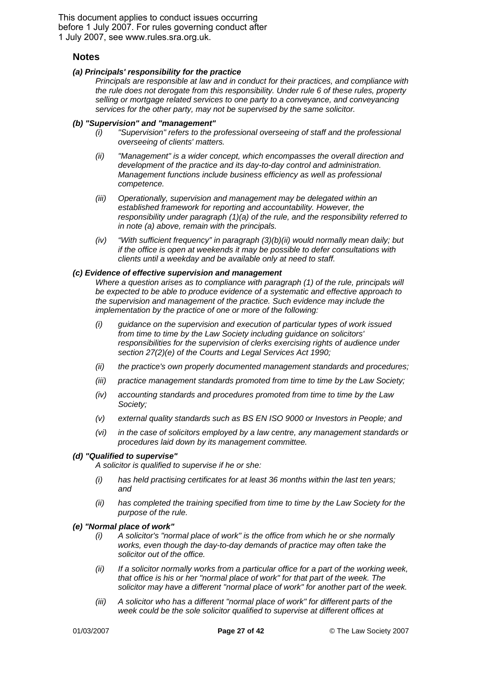### **Notes**

#### *(a) Principals' responsibility for the practice*

*Principals are responsible at law and in conduct for their practices, and compliance with the rule does not derogate from this responsibility. Under rule 6 of these rules, property selling or mortgage related services to one party to a conveyance, and conveyancing services for the other party, may not be supervised by the same solicitor.* 

#### *(b) "Supervision" and "management"*

- *(i) "Supervision" refers to the professional overseeing of staff and the professional overseeing of clients' matters.*
- *(ii) "Management" is a wider concept, which encompasses the overall direction and development of the practice and its day-to-day control and administration. Management functions include business efficiency as well as professional competence.*
- *(iii) Operationally, supervision and management may be delegated within an established framework for reporting and accountability. However, the responsibility under paragraph (1)(a) of the rule, and the responsibility referred to in note (a) above, remain with the principals.*
- *(iv) "With sufficient frequency" in paragraph (3)(b)(ii) would normally mean daily; but if the office is open at weekends it may be possible to defer consultations with clients until a weekday and be available only at need to staff.*

#### *(c) Evidence of effective supervision and management*

*Where a question arises as to compliance with paragraph (1) of the rule, principals will be expected to be able to produce evidence of a systematic and effective approach to the supervision and management of the practice. Such evidence may include the implementation by the practice of one or more of the following:* 

- *(i) guidance on the supervision and execution of particular types of work issued from time to time by the Law Society including guidance on solicitors' responsibilities for the supervision of clerks exercising rights of audience under section 27(2)(e) of the Courts and Legal Services Act 1990;*
- *(ii) the practice's own properly documented management standards and procedures;*
- *(iii) practice management standards promoted from time to time by the Law Society;*
- *(iv) accounting standards and procedures promoted from time to time by the Law Society;*
- *(v) external quality standards such as BS EN ISO 9000 or Investors in People; and*
- *(vi) in the case of solicitors employed by a law centre, any management standards or procedures laid down by its management committee.*

#### *(d) "Qualified to supervise"*

*A solicitor is qualified to supervise if he or she:* 

- *(i) has held practising certificates for at least 36 months within the last ten years; and*
- *(ii) has completed the training specified from time to time by the Law Society for the purpose of the rule.*
- *(e) "Normal place of work"* 
	- *(i) A solicitor's "normal place of work" is the office from which he or she normally works, even though the day-to-day demands of practice may often take the solicitor out of the office.*
	- *(ii) If a solicitor normally works from a particular office for a part of the working week, that office is his or her "normal place of work" for that part of the week. The solicitor may have a different "normal place of work" for another part of the week.*
	- *(iii) A solicitor who has a different "normal place of work" for different parts of the week could be the sole solicitor qualified to supervise at different offices at*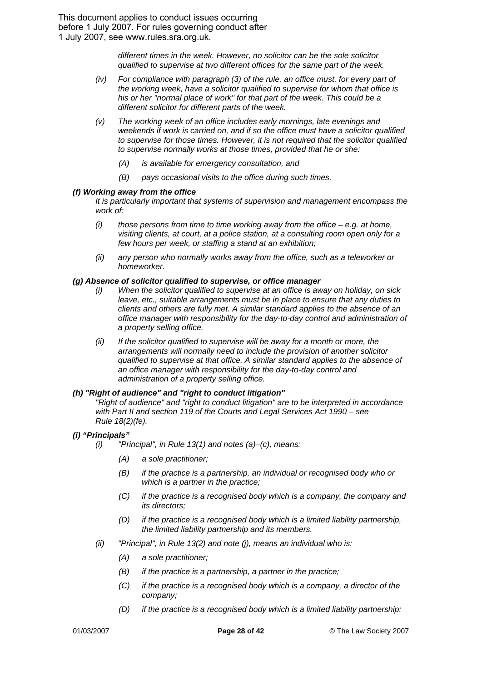*different times in the week. However, no solicitor can be the sole solicitor qualified to supervise at two different offices for the same part of the week.* 

- *(iv) For compliance with paragraph (3) of the rule, an office must, for every part of the working week, have a solicitor qualified to supervise for whom that office is his or her "normal place of work" for that part of the week. This could be a different solicitor for different parts of the week.*
- *(v) The working week of an office includes early mornings, late evenings and weekends if work is carried on, and if so the office must have a solicitor qualified to supervise for those times. However, it is not required that the solicitor qualified to supervise normally works at those times, provided that he or she:* 
	- *(A) is available for emergency consultation, and*
	- *(B) pays occasional visits to the office during such times.*

#### *(f) Working away from the office*

*It is particularly important that systems of supervision and management encompass the work of:* 

- *(i) those persons from time to time working away from the office e.g. at home, visiting clients, at court, at a police station, at a consulting room open only for a few hours per week, or staffing a stand at an exhibition;*
- *(ii) any person who normally works away from the office, such as a teleworker or homeworker.*

#### *(g) Absence of solicitor qualified to supervise, or office manager*

- *(i) When the solicitor qualified to supervise at an office is away on holiday, on sick leave, etc., suitable arrangements must be in place to ensure that any duties to clients and others are fully met. A similar standard applies to the absence of an office manager with responsibility for the day-to-day control and administration of a property selling office.*
- *(ii) If the solicitor qualified to supervise will be away for a month or more, the arrangements will normally need to include the provision of another solicitor qualified to supervise at that office. A similar standard applies to the absence of an office manager with responsibility for the day-to-day control and administration of a property selling office.*

#### *(h) "Right of audience" and "right to conduct litigation"*

*"Right of audience" and "right to conduct litigation" are to be interpreted in accordance with Part II and section 119 of the Courts and Legal Services Act 1990 – see Rule 18(2)(fe).* 

#### *(i) "Principals"*

- *(i) "Principal", in Rule 13(1) and notes (a)–(c), means:* 
	- *(A) a sole practitioner;*
	- *(B) if the practice is a partnership, an individual or recognised body who or which is a partner in the practice;*
	- *(C) if the practice is a recognised body which is a company, the company and its directors;*
	- *(D) if the practice is a recognised body which is a limited liability partnership, the limited liability partnership and its members.*
- *(ii) "Principal", in Rule 13(2) and note (j), means an individual who is:* 
	- *(A) a sole practitioner;*
	- *(B) if the practice is a partnership, a partner in the practice;*
	- *(C) if the practice is a recognised body which is a company, a director of the company;*
	- *(D) if the practice is a recognised body which is a limited liability partnership:*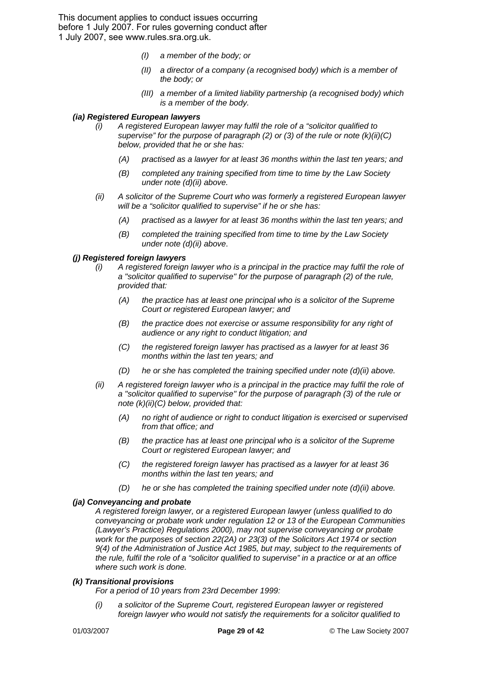- *(I) a member of the body; or*
- *(II) a director of a company (a recognised body) which is a member of the body; or*
- *(III) a member of a limited liability partnership (a recognised body) which is a member of the body.*

#### *(ia) Registered European lawyers*

- *(i) A registered European lawyer may fulfil the role of a "solicitor qualified to supervise" for the purpose of paragraph (2) or (3) of the rule or note (k)(ii)(C) below, provided that he or she has:* 
	- *(A) practised as a lawyer for at least 36 months within the last ten years; and*
	- *(B) completed any training specified from time to time by the Law Society under note (d)(ii) above.*
- *(ii) A solicitor of the Supreme Court who was formerly a registered European lawyer will be a "solicitor qualified to supervise" if he or she has:* 
	- *(A) practised as a lawyer for at least 36 months within the last ten years; and*
	- *(B) completed the training specified from time to time by the Law Society under note (d)(ii) above*.

#### *(j) Registered foreign lawyers*

- *(i) A registered foreign lawyer who is a principal in the practice may fulfil the role of a "solicitor qualified to supervise" for the purpose of paragraph (2) of the rule, provided that:* 
	- *(A) the practice has at least one principal who is a solicitor of the Supreme Court or registered European lawyer; and*
	- *(B) the practice does not exercise or assume responsibility for any right of audience or any right to conduct litigation; and*
	- *(C) the registered foreign lawyer has practised as a lawyer for at least 36 months within the last ten years; and*
	- *(D) he or she has completed the training specified under note (d)(ii) above.*
- *(ii) A registered foreign lawyer who is a principal in the practice may fulfil the role of a "solicitor qualified to supervise" for the purpose of paragraph (3) of the rule or note (k)(ii)(C) below, provided that:* 
	- *(A) no right of audience or right to conduct litigation is exercised or supervised from that office; and*
	- *(B) the practice has at least one principal who is a solicitor of the Supreme Court or registered European lawyer; and*
	- *(C) the registered foreign lawyer has practised as a lawyer for at least 36 months within the last ten years; and*
	- *(D) he or she has completed the training specified under note (d)(ii) above.*

#### *(ja) Conveyancing and probate*

*A registered foreign lawyer, or a registered European lawyer (unless qualified to do conveyancing or probate work under regulation 12 or 13 of the European Communities (Lawyer's Practice) Regulations 2000), may not supervise conveyancing or probate work for the purposes of section 22(2A) or 23(3) of the Solicitors Act 1974 or section 9(4) of the Administration of Justice Act 1985, but may, subject to the requirements of the rule, fulfil the role of a "solicitor qualified to supervise" in a practice or at an office where such work is done.* 

#### *(k) Transitional provisions*

*For a period of 10 years from 23rd December 1999:* 

*(i) a solicitor of the Supreme Court, registered European lawyer or registered foreign lawyer who would not satisfy the requirements for a solicitor qualified to*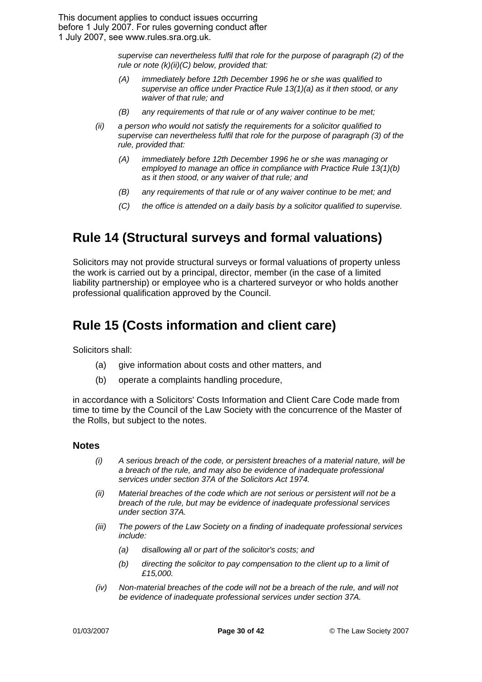<span id="page-29-0"></span>*supervise can nevertheless fulfil that role for the purpose of paragraph (2) of the rule or note (k)(ii)(C) below, provided that:* 

- *(A) immediately before 12th December 1996 he or she was qualified to supervise an office under Practice Rule 13(1)(a) as it then stood, or any waiver of that rule; and*
- *(B) any requirements of that rule or of any waiver continue to be met;*
- *(ii) a person who would not satisfy the requirements for a solicitor qualified to supervise can nevertheless fulfil that role for the purpose of paragraph (3) of the rule, provided that:* 
	- *(A) immediately before 12th December 1996 he or she was managing or employed to manage an office in compliance with Practice Rule 13(1)(b) as it then stood, or any waiver of that rule; and*
	- *(B) any requirements of that rule or of any waiver continue to be met; and*
	- *(C) the office is attended on a daily basis by a solicitor qualified to supervise.*

# **Rule 14 (Structural surveys and formal valuations)**

Solicitors may not provide structural surveys or formal valuations of property unless the work is carried out by a principal, director, member (in the case of a limited liability partnership) or employee who is a chartered surveyor or who holds another professional qualification approved by the Council.

# **Rule 15 (Costs information and client care)**

Solicitors shall:

- (a) give information about costs and other matters, and
- (b) operate a complaints handling procedure,

in accordance with a Solicitors' Costs Information and Client Care Code made from time to time by the Council of the Law Society with the concurrence of the Master of the Rolls, but subject to the notes.

### **Notes**

- *(i) A serious breach of the code, or persistent breaches of a material nature, will be a breach of the rule, and may also be evidence of inadequate professional services under section 37A of the Solicitors Act 1974.*
- *(ii) Material breaches of the code which are not serious or persistent will not be a breach of the rule, but may be evidence of inadequate professional services under section 37A.*
- *(iii) The powers of the Law Society on a finding of inadequate professional services include:* 
	- *(a) disallowing all or part of the solicitor's costs; and*
	- *(b) directing the solicitor to pay compensation to the client up to a limit of £15,000.*
- *(iv) Non-material breaches of the code will not be a breach of the rule, and will not be evidence of inadequate professional services under section 37A.*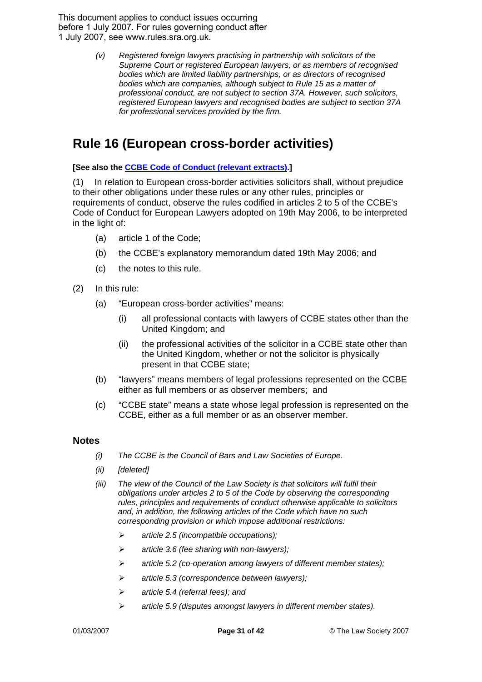> <span id="page-30-0"></span>*(v) Registered foreign lawyers practising in partnership with solicitors of the Supreme Court or registered European lawyers, or as members of recognised bodies which are limited liability partnerships, or as directors of recognised bodies which are companies, although subject to Rule 15 as a matter of professional conduct, are not subject to section 37A. However, such solicitors, registered European lawyers and recognised bodies are subject to section 37A for professional services provided by the firm.*

# **Rule 16 (European cross-border activities)**

**[See also the [CCBE Code of Conduct \(relevant extracts\).](http://www.lawsociety.org.uk/documents/downloads/PE_CCBE_CoC.pdf)]** 

(1) In relation to European cross-border activities solicitors shall, without prejudice to their other obligations under these rules or any other rules, principles or requirements of conduct, observe the rules codified in articles 2 to 5 of the CCBE's Code of Conduct for European Lawyers adopted on 19th May 2006, to be interpreted in the light of:

- (a) article 1 of the Code;
- (b) the CCBE's explanatory memorandum dated 19th May 2006; and
- (c) the notes to this rule.
- (2) In this rule:
	- (a) "European cross-border activities" means:
		- (i) all professional contacts with lawyers of CCBE states other than the United Kingdom; and
		- (ii) the professional activities of the solicitor in a CCBE state other than the United Kingdom, whether or not the solicitor is physically present in that CCBE state;
	- (b) "lawyers" means members of legal professions represented on the CCBE either as full members or as observer members; and
	- (c) "CCBE state" means a state whose legal profession is represented on the CCBE, either as a full member or as an observer member.

#### **Notes**

- *(i) The CCBE is the Council of Bars and Law Societies of Europe.*
- *(ii) [deleted]*
- *(iii) The view of the Council of the Law Society is that solicitors will fulfil their obligations under articles 2 to 5 of the Code by observing the corresponding rules, principles and requirements of conduct otherwise applicable to solicitors and, in addition, the following articles of the Code which have no such corresponding provision or which impose additional restrictions:* 
	- ¾ *article 2.5 (incompatible occupations);*
	- ¾ *article 3.6 (fee sharing with non-lawyers);*
	- ¾ *article 5.2 (co-operation among lawyers of different member states);*
	- ¾ *article 5.3 (correspondence between lawyers);*
	- ¾ *article 5.4 (referral fees); and*
	- ¾ *article 5.9 (disputes amongst lawyers in different member states).*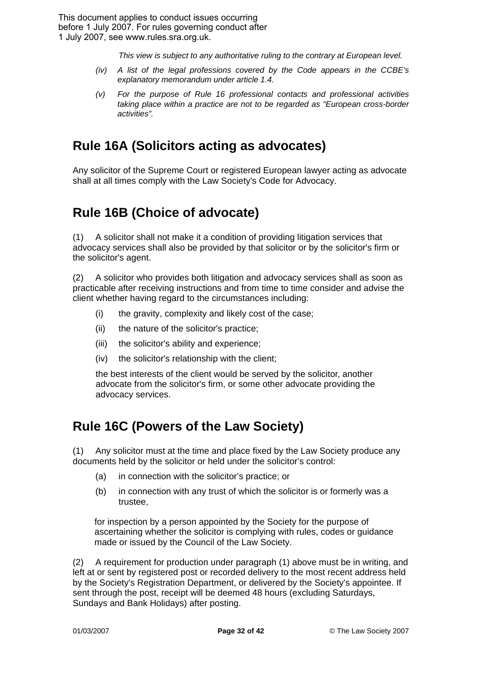*This view is subject to any authoritative ruling to the contrary at European level.* 

- <span id="page-31-0"></span>*(iv) A list of the legal professions covered by the Code appears in the CCBE's explanatory memorandum under article 1.4.*
- *(v) For the purpose of Rule 16 professional contacts and professional activities taking place within a practice are not to be regarded as "European cross-border activities".*

# **Rule 16A (Solicitors acting as advocates)**

Any solicitor of the Supreme Court or registered European lawyer acting as advocate shall at all times comply with the Law Society's Code for Advocacy.

# **Rule 16B (Choice of advocate)**

(1) A solicitor shall not make it a condition of providing litigation services that advocacy services shall also be provided by that solicitor or by the solicitor's firm or the solicitor's agent.

(2) A solicitor who provides both litigation and advocacy services shall as soon as practicable after receiving instructions and from time to time consider and advise the client whether having regard to the circumstances including:

- (i) the gravity, complexity and likely cost of the case;
- (ii) the nature of the solicitor's practice;
- (iii) the solicitor's ability and experience;
- (iv) the solicitor's relationship with the client;

the best interests of the client would be served by the solicitor, another advocate from the solicitor's firm, or some other advocate providing the advocacy services.

# **Rule 16C (Powers of the Law Society)**

(1) Any solicitor must at the time and place fixed by the Law Society produce any documents held by the solicitor or held under the solicitor's control:

- (a) in connection with the solicitor's practice; or
- (b) in connection with any trust of which the solicitor is or formerly was a trustee,

for inspection by a person appointed by the Society for the purpose of ascertaining whether the solicitor is complying with rules, codes or guidance made or issued by the Council of the Law Society.

(2) A requirement for production under paragraph (1) above must be in writing, and left at or sent by registered post or recorded delivery to the most recent address held by the Society's Registration Department, or delivered by the Society's appointee. If sent through the post, receipt will be deemed 48 hours (excluding Saturdays, Sundays and Bank Holidays) after posting.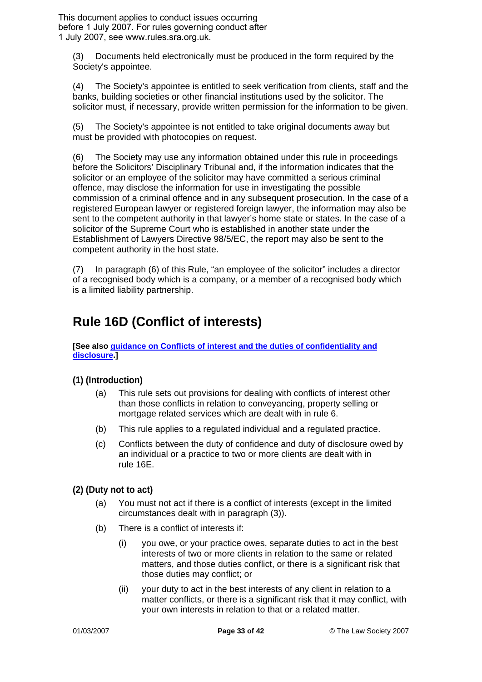<span id="page-32-0"></span>(3) Documents held electronically must be produced in the form required by the Society's appointee.

(4) The Society's appointee is entitled to seek verification from clients, staff and the banks, building societies or other financial institutions used by the solicitor. The solicitor must, if necessary, provide written permission for the information to be given.

(5) The Society's appointee is not entitled to take original documents away but must be provided with photocopies on request.

(6) The Society may use any information obtained under this rule in proceedings before the Solicitors' Disciplinary Tribunal and, if the information indicates that the solicitor or an employee of the solicitor may have committed a serious criminal offence, may disclose the information for use in investigating the possible commission of a criminal offence and in any subsequent prosecution. In the case of a registered European lawyer or registered foreign lawyer, the information may also be sent to the competent authority in that lawyer's home state or states. In the case of a solicitor of the Supreme Court who is established in another state under the Establishment of Lawyers Directive 98/5/EC, the report may also be sent to the competent authority in the host state.

(7) In paragraph (6) of this Rule, "an employee of the solicitor" includes a director of a recognised body which is a company, or a member of a recognised body which is a limited liability partnership.

# **Rule 16D (Conflict of interests)**

**[See also [guidance on Conflicts of interest and the duties of confidentiality and](http://www.lawsociety.org.uk/professional/conduct/guidance/view=article.law?POLICYID=280655)  [disclosure.](http://www.lawsociety.org.uk/professional/conduct/guidance/view=article.law?POLICYID=280655)]**

## **(1) (Introduction)**

- (a) This rule sets out provisions for dealing with conflicts of interest other than those conflicts in relation to conveyancing, property selling or mortgage related services which are dealt with in rule 6.
- (b) This rule applies to a regulated individual and a regulated practice.
- (c) Conflicts between the duty of confidence and duty of disclosure owed by an individual or a practice to two or more clients are dealt with in rule 16E.

### **(2) (Duty not to act)**

- (a) You must not act if there is a conflict of interests (except in the limited circumstances dealt with in paragraph (3)).
- (b) There is a conflict of interests if:
	- (i) you owe, or your practice owes, separate duties to act in the best interests of two or more clients in relation to the same or related matters, and those duties conflict, or there is a significant risk that those duties may conflict; or
	- (ii) your duty to act in the best interests of any client in relation to a matter conflicts, or there is a significant risk that it may conflict, with your own interests in relation to that or a related matter.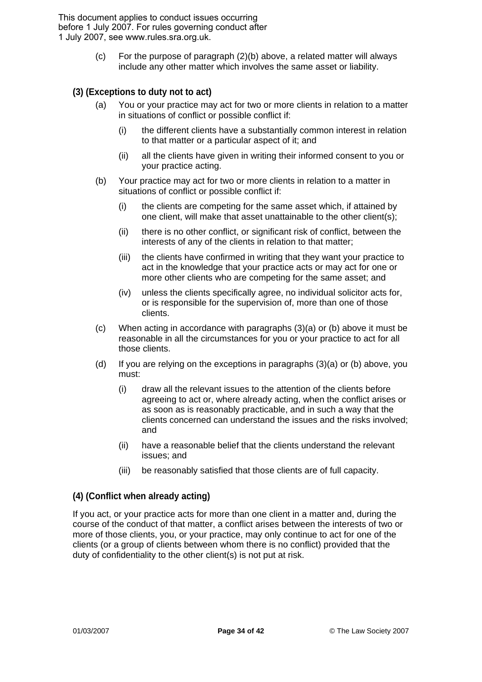> <span id="page-33-0"></span>(c) For the purpose of paragraph (2)(b) above, a related matter will always include any other matter which involves the same asset or liability.

### **(3) (Exceptions to duty not to act)**

- (a) You or your practice may act for two or more clients in relation to a matter in situations of conflict or possible conflict if:
	- (i) the different clients have a substantially common interest in relation to that matter or a particular aspect of it; and
	- (ii) all the clients have given in writing their informed consent to you or your practice acting.
- (b) Your practice may act for two or more clients in relation to a matter in situations of conflict or possible conflict if:
	- (i) the clients are competing for the same asset which, if attained by one client, will make that asset unattainable to the other client(s);
	- (ii) there is no other conflict, or significant risk of conflict, between the interests of any of the clients in relation to that matter;
	- (iii) the clients have confirmed in writing that they want your practice to act in the knowledge that your practice acts or may act for one or more other clients who are competing for the same asset; and
	- (iv) unless the clients specifically agree, no individual solicitor acts for, or is responsible for the supervision of, more than one of those clients.
- (c) When acting in accordance with paragraphs (3)(a) or (b) above it must be reasonable in all the circumstances for you or your practice to act for all those clients.
- (d) If you are relying on the exceptions in paragraphs  $(3)(a)$  or (b) above, you must:
	- (i) draw all the relevant issues to the attention of the clients before agreeing to act or, where already acting, when the conflict arises or as soon as is reasonably practicable, and in such a way that the clients concerned can understand the issues and the risks involved; and
	- (ii) have a reasonable belief that the clients understand the relevant issues; and
	- (iii) be reasonably satisfied that those clients are of full capacity.

## **(4) (Conflict when already acting)**

If you act, or your practice acts for more than one client in a matter and, during the course of the conduct of that matter, a conflict arises between the interests of two or more of those clients, you, or your practice, may only continue to act for one of the clients (or a group of clients between whom there is no conflict) provided that the duty of confidentiality to the other client(s) is not put at risk.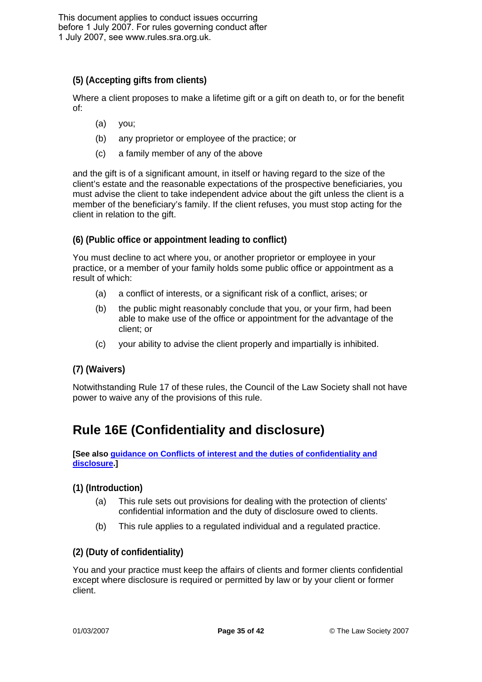## <span id="page-34-0"></span>**(5) (Accepting gifts from clients)**

Where a client proposes to make a lifetime gift or a gift on death to, or for the benefit of:

- (a) you;
- (b) any proprietor or employee of the practice; or
- (c) a family member of any of the above

and the gift is of a significant amount, in itself or having regard to the size of the client's estate and the reasonable expectations of the prospective beneficiaries, you must advise the client to take independent advice about the gift unless the client is a member of the beneficiary's family. If the client refuses, you must stop acting for the client in relation to the gift.

### **(6) (Public office or appointment leading to conflict)**

You must decline to act where you, or another proprietor or employee in your practice, or a member of your family holds some public office or appointment as a result of which:

- (a) a conflict of interests, or a significant risk of a conflict, arises; or
- (b) the public might reasonably conclude that you, or your firm, had been able to make use of the office or appointment for the advantage of the client; or
- (c) your ability to advise the client properly and impartially is inhibited.

## **(7) (Waivers)**

Notwithstanding Rule 17 of these rules, the Council of the Law Society shall not have power to waive any of the provisions of this rule.

# **Rule 16E (Confidentiality and disclosure)**

**[See also [guidance on Conflicts of interest and the duties of confidentiality and](http://www.lawsociety.org.uk/professional/conduct/guidance/view=article.law?POLICYID=280655)  [disclosure.](http://www.lawsociety.org.uk/professional/conduct/guidance/view=article.law?POLICYID=280655)]**

### **(1) (Introduction)**

- (a) This rule sets out provisions for dealing with the protection of clients' confidential information and the duty of disclosure owed to clients.
- (b) This rule applies to a regulated individual and a regulated practice.

## **(2) (Duty of confidentiality)**

You and your practice must keep the affairs of clients and former clients confidential except where disclosure is required or permitted by law or by your client or former client.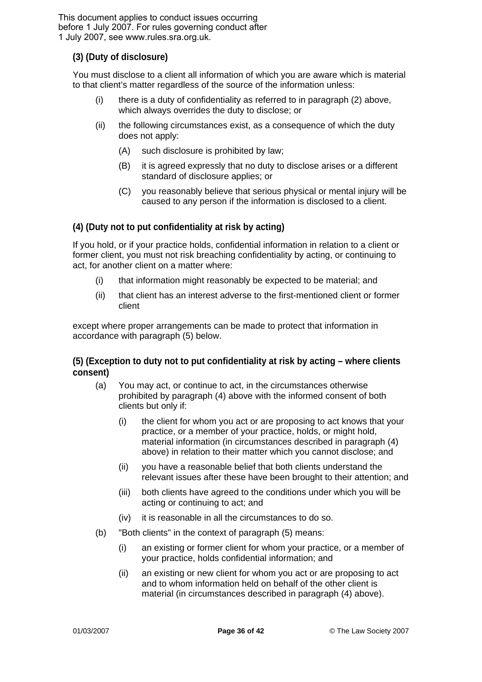## <span id="page-35-0"></span>**(3) (Duty of disclosure)**

You must disclose to a client all information of which you are aware which is material to that client's matter regardless of the source of the information unless:

- (i) there is a duty of confidentiality as referred to in paragraph (2) above, which always overrides the duty to disclose; or
- (ii) the following circumstances exist, as a consequence of which the duty does not apply:
	- (A) such disclosure is prohibited by law;
	- (B) it is agreed expressly that no duty to disclose arises or a different standard of disclosure applies; or
	- (C) you reasonably believe that serious physical or mental injury will be caused to any person if the information is disclosed to a client.

### **(4) (Duty not to put confidentiality at risk by acting)**

If you hold, or if your practice holds, confidential information in relation to a client or former client, you must not risk breaching confidentiality by acting, or continuing to act, for another client on a matter where:

- (i) that information might reasonably be expected to be material; and
- (ii) that client has an interest adverse to the first-mentioned client or former client

except where proper arrangements can be made to protect that information in accordance with paragraph (5) below.

### **(5) (Exception to duty not to put confidentiality at risk by acting – where clients consent)**

- (a) You may act, or continue to act, in the circumstances otherwise prohibited by paragraph (4) above with the informed consent of both clients but only if:
	- (i) the client for whom you act or are proposing to act knows that your practice, or a member of your practice, holds, or might hold, material information (in circumstances described in paragraph (4) above) in relation to their matter which you cannot disclose; and
	- (ii) you have a reasonable belief that both clients understand the relevant issues after these have been brought to their attention; and
	- (iii) both clients have agreed to the conditions under which you will be acting or continuing to act; and
	- (iv) it is reasonable in all the circumstances to do so.
- (b) "Both clients" in the context of paragraph (5) means:
	- (i) an existing or former client for whom your practice, or a member of your practice, holds confidential information; and
	- (ii) an existing or new client for whom you act or are proposing to act and to whom information held on behalf of the other client is material (in circumstances described in paragraph (4) above).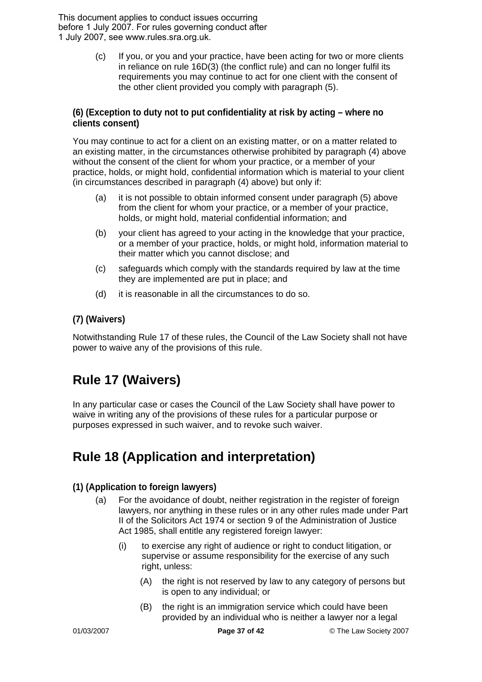> <span id="page-36-0"></span>(c) If you, or you and your practice, have been acting for two or more clients in reliance on rule 16D(3) (the conflict rule) and can no longer fulfil its requirements you may continue to act for one client with the consent of the other client provided you comply with paragraph (5).

## **(6) (Exception to duty not to put confidentiality at risk by acting – where no clients consent)**

You may continue to act for a client on an existing matter, or on a matter related to an existing matter, in the circumstances otherwise prohibited by paragraph (4) above without the consent of the client for whom your practice, or a member of your practice, holds, or might hold, confidential information which is material to your client (in circumstances described in paragraph (4) above) but only if:

- (a) it is not possible to obtain informed consent under paragraph (5) above from the client for whom your practice, or a member of your practice, holds, or might hold, material confidential information; and
- (b) your client has agreed to your acting in the knowledge that your practice, or a member of your practice, holds, or might hold, information material to their matter which you cannot disclose; and
- (c) safeguards which comply with the standards required by law at the time they are implemented are put in place; and
- (d) it is reasonable in all the circumstances to do so.

## **(7) (Waivers)**

Notwithstanding Rule 17 of these rules, the Council of the Law Society shall not have power to waive any of the provisions of this rule.

# **Rule 17 (Waivers)**

In any particular case or cases the Council of the Law Society shall have power to waive in writing any of the provisions of these rules for a particular purpose or purposes expressed in such waiver, and to revoke such waiver.

# **Rule 18 (Application and interpretation)**

## **(1) (Application to foreign lawyers)**

- (a) For the avoidance of doubt, neither registration in the register of foreign lawyers, nor anything in these rules or in any other rules made under Part II of the Solicitors Act 1974 or section 9 of the Administration of Justice Act 1985, shall entitle any registered foreign lawyer:
	- (i) to exercise any right of audience or right to conduct litigation, or supervise or assume responsibility for the exercise of any such right, unless:
		- (A) the right is not reserved by law to any category of persons but is open to any individual; or
		- (B) the right is an immigration service which could have been provided by an individual who is neither a lawyer nor a legal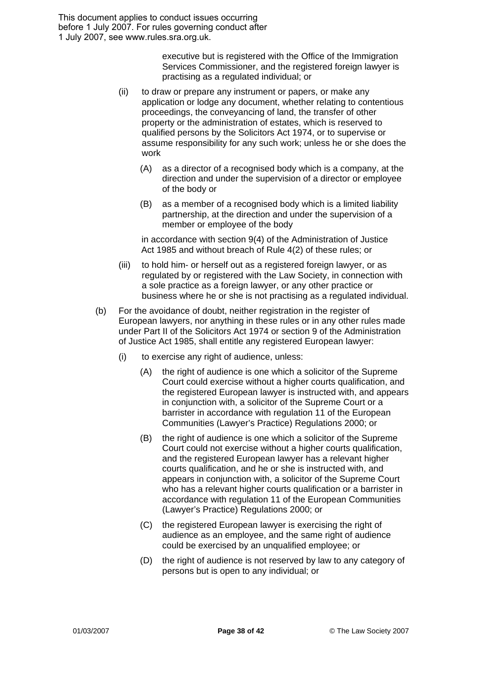> executive but is registered with the Office of the Immigration Services Commissioner, and the registered foreign lawyer is practising as a regulated individual; or

- (ii) to draw or prepare any instrument or papers, or make any application or lodge any document, whether relating to contentious proceedings, the conveyancing of land, the transfer of other property or the administration of estates, which is reserved to qualified persons by the Solicitors Act 1974, or to supervise or assume responsibility for any such work; unless he or she does the work
	- (A) as a director of a recognised body which is a company, at the direction and under the supervision of a director or employee of the body or
	- (B) as a member of a recognised body which is a limited liability partnership, at the direction and under the supervision of a member or employee of the body

in accordance with section 9(4) of the Administration of Justice Act 1985 and without breach of Rule 4(2) of these rules; or

- (iii) to hold him- or herself out as a registered foreign lawyer, or as regulated by or registered with the Law Society, in connection with a sole practice as a foreign lawyer, or any other practice or business where he or she is not practising as a regulated individual.
- (b) For the avoidance of doubt, neither registration in the register of European lawyers, nor anything in these rules or in any other rules made under Part II of the Solicitors Act 1974 or section 9 of the Administration of Justice Act 1985, shall entitle any registered European lawyer:
	- (i) to exercise any right of audience, unless:
		- (A) the right of audience is one which a solicitor of the Supreme Court could exercise without a higher courts qualification, and the registered European lawyer is instructed with, and appears in conjunction with, a solicitor of the Supreme Court or a barrister in accordance with regulation 11 of the European Communities (Lawyer's Practice) Regulations 2000; or
		- (B) the right of audience is one which a solicitor of the Supreme Court could not exercise without a higher courts qualification, and the registered European lawyer has a relevant higher courts qualification, and he or she is instructed with, and appears in conjunction with, a solicitor of the Supreme Court who has a relevant higher courts qualification or a barrister in accordance with regulation 11 of the European Communities (Lawyer's Practice) Regulations 2000; or
		- (C) the registered European lawyer is exercising the right of audience as an employee, and the same right of audience could be exercised by an unqualified employee; or
		- (D) the right of audience is not reserved by law to any category of persons but is open to any individual; or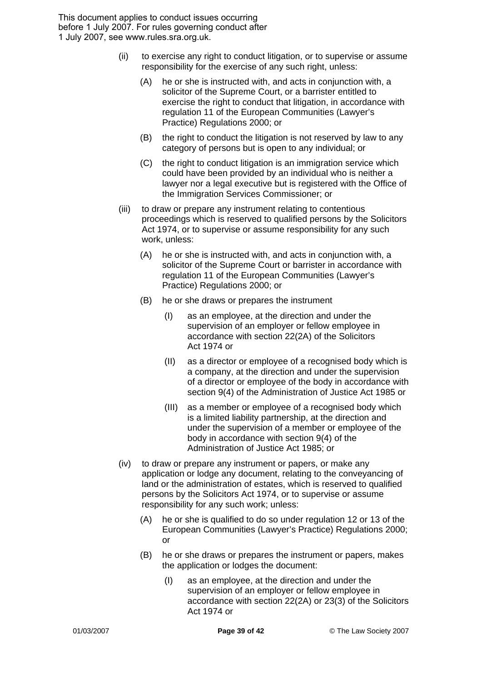- (ii) to exercise any right to conduct litigation, or to supervise or assume responsibility for the exercise of any such right, unless:
	- (A) he or she is instructed with, and acts in conjunction with, a solicitor of the Supreme Court, or a barrister entitled to exercise the right to conduct that litigation, in accordance with regulation 11 of the European Communities (Lawyer's Practice) Regulations 2000; or
	- (B) the right to conduct the litigation is not reserved by law to any category of persons but is open to any individual; or
	- (C) the right to conduct litigation is an immigration service which could have been provided by an individual who is neither a lawyer nor a legal executive but is registered with the Office of the Immigration Services Commissioner; or
- (iii) to draw or prepare any instrument relating to contentious proceedings which is reserved to qualified persons by the Solicitors Act 1974, or to supervise or assume responsibility for any such work, unless:
	- (A) he or she is instructed with, and acts in conjunction with, a solicitor of the Supreme Court or barrister in accordance with regulation 11 of the European Communities (Lawyer's Practice) Regulations 2000; or
	- (B) he or she draws or prepares the instrument
		- (I) as an employee, at the direction and under the supervision of an employer or fellow employee in accordance with section 22(2A) of the Solicitors Act 1974 or
		- (II) as a director or employee of a recognised body which is a company, at the direction and under the supervision of a director or employee of the body in accordance with section 9(4) of the Administration of Justice Act 1985 or
		- (III) as a member or employee of a recognised body which is a limited liability partnership, at the direction and under the supervision of a member or employee of the body in accordance with section 9(4) of the Administration of Justice Act 1985; or
- (iv) to draw or prepare any instrument or papers, or make any application or lodge any document, relating to the conveyancing of land or the administration of estates, which is reserved to qualified persons by the Solicitors Act 1974, or to supervise or assume responsibility for any such work; unless:
	- (A) he or she is qualified to do so under regulation 12 or 13 of the European Communities (Lawyer's Practice) Regulations 2000; or
	- (B) he or she draws or prepares the instrument or papers, makes the application or lodges the document:
		- (I) as an employee, at the direction and under the supervision of an employer or fellow employee in accordance with section 22(2A) or 23(3) of the Solicitors Act 1974 or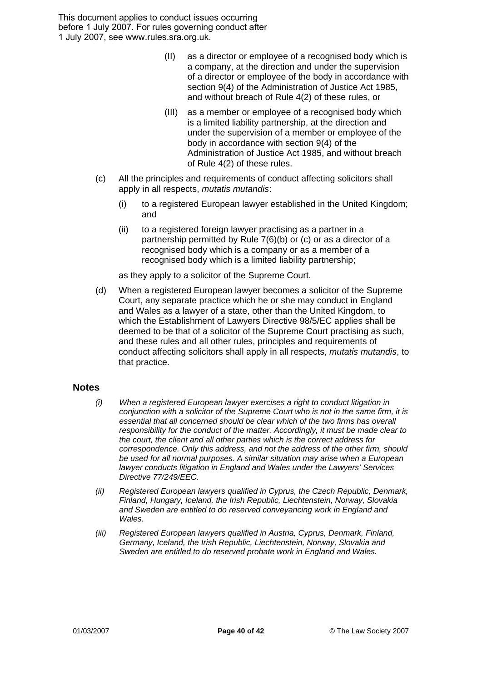- (II) as a director or employee of a recognised body which is a company, at the direction and under the supervision of a director or employee of the body in accordance with section 9(4) of the Administration of Justice Act 1985, and without breach of Rule 4(2) of these rules, or
- (III) as a member or employee of a recognised body which is a limited liability partnership, at the direction and under the supervision of a member or employee of the body in accordance with section 9(4) of the Administration of Justice Act 1985, and without breach of Rule 4(2) of these rules.
- (c) All the principles and requirements of conduct affecting solicitors shall apply in all respects, *mutatis mutandis*:
	- (i) to a registered European lawyer established in the United Kingdom; and
	- (ii) to a registered foreign lawyer practising as a partner in a partnership permitted by Rule 7(6)(b) or (c) or as a director of a recognised body which is a company or as a member of a recognised body which is a limited liability partnership;

as they apply to a solicitor of the Supreme Court.

(d) When a registered European lawyer becomes a solicitor of the Supreme Court, any separate practice which he or she may conduct in England and Wales as a lawyer of a state, other than the United Kingdom, to which the Establishment of Lawyers Directive 98/5/EC applies shall be deemed to be that of a solicitor of the Supreme Court practising as such, and these rules and all other rules, principles and requirements of conduct affecting solicitors shall apply in all respects, *mutatis mutandis*, to that practice.

### **Notes**

- *(i) When a registered European lawyer exercises a right to conduct litigation in conjunction with a solicitor of the Supreme Court who is not in the same firm, it is essential that all concerned should be clear which of the two firms has overall responsibility for the conduct of the matter. Accordingly, it must be made clear to the court, the client and all other parties which is the correct address for correspondence. Only this address, and not the address of the other firm, should be used for all normal purposes. A similar situation may arise when a European lawyer conducts litigation in England and Wales under the Lawyers' Services Directive 77/249/EEC.*
- *(ii) Registered European lawyers qualified in Cyprus, the Czech Republic, Denmark, Finland, Hungary, Iceland, the Irish Republic, Liechtenstein, Norway, Slovakia and Sweden are entitled to do reserved conveyancing work in England and Wales.*
- *(iii) Registered European lawyers qualified in Austria, Cyprus, Denmark, Finland, Germany, Iceland, the Irish Republic, Liechtenstein, Norway, Slovakia and Sweden are entitled to do reserved probate work in England and Wales.*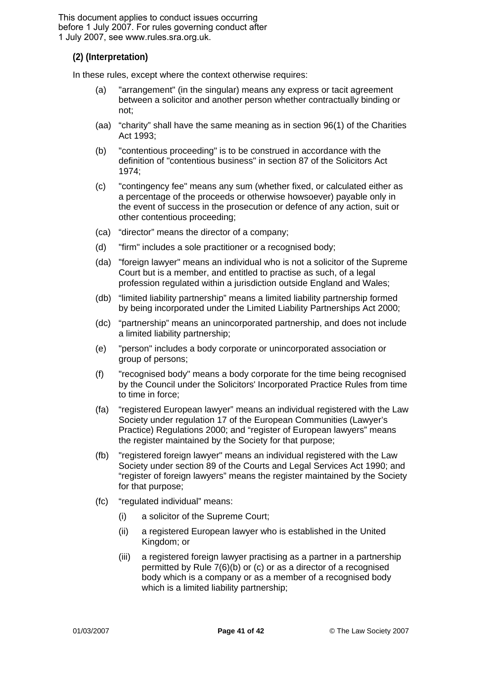## <span id="page-40-0"></span>**(2) (Interpretation)**

In these rules, except where the context otherwise requires:

- (a) "arrangement" (in the singular) means any express or tacit agreement between a solicitor and another person whether contractually binding or not;
- (aa) "charity" shall have the same meaning as in section 96(1) of the Charities Act 1993;
- (b) "contentious proceeding" is to be construed in accordance with the definition of "contentious business" in section 87 of the Solicitors Act 1974;
- (c) "contingency fee" means any sum (whether fixed, or calculated either as a percentage of the proceeds or otherwise howsoever) payable only in the event of success in the prosecution or defence of any action, suit or other contentious proceeding;
- (ca) "director" means the director of a company;
- (d) "firm" includes a sole practitioner or a recognised body;
- (da) "foreign lawyer" means an individual who is not a solicitor of the Supreme Court but is a member, and entitled to practise as such, of a legal profession regulated within a jurisdiction outside England and Wales;
- (db) "limited liability partnership" means a limited liability partnership formed by being incorporated under the Limited Liability Partnerships Act 2000;
- (dc) "partnership" means an unincorporated partnership, and does not include a limited liability partnership;
- (e) "person" includes a body corporate or unincorporated association or group of persons;
- (f) "recognised body" means a body corporate for the time being recognised by the Council under the Solicitors' Incorporated Practice Rules from time to time in force;
- (fa) "registered European lawyer" means an individual registered with the Law Society under regulation 17 of the European Communities (Lawyer's Practice) Regulations 2000; and "register of European lawyers" means the register maintained by the Society for that purpose;
- (fb) "registered foreign lawyer" means an individual registered with the Law Society under section 89 of the Courts and Legal Services Act 1990; and "register of foreign lawyers" means the register maintained by the Society for that purpose;
- (fc) "regulated individual" means:
	- (i) a solicitor of the Supreme Court;
	- (ii) a registered European lawyer who is established in the United Kingdom; or
	- (iii) a registered foreign lawyer practising as a partner in a partnership permitted by Rule 7(6)(b) or (c) or as a director of a recognised body which is a company or as a member of a recognised body which is a limited liability partnership;